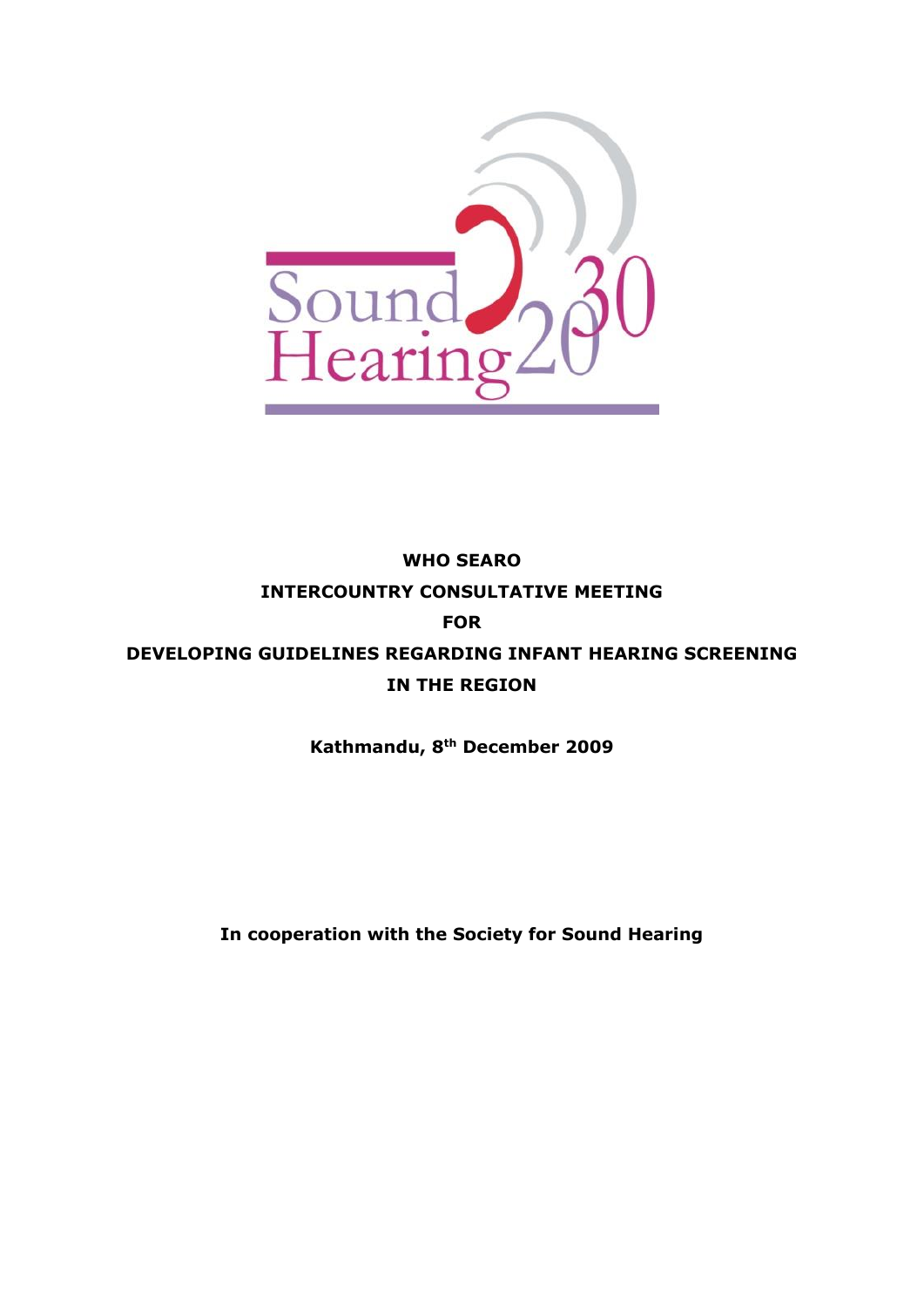

# **WHO SEARO INTERCOUNTRY CONSULTATIVE MEETING FOR DEVELOPING GUIDELINES REGARDING INFANT HEARING SCREENING IN THE REGION**

**Kathmandu, 8th December 2009**

**In cooperation with the Society for Sound Hearing**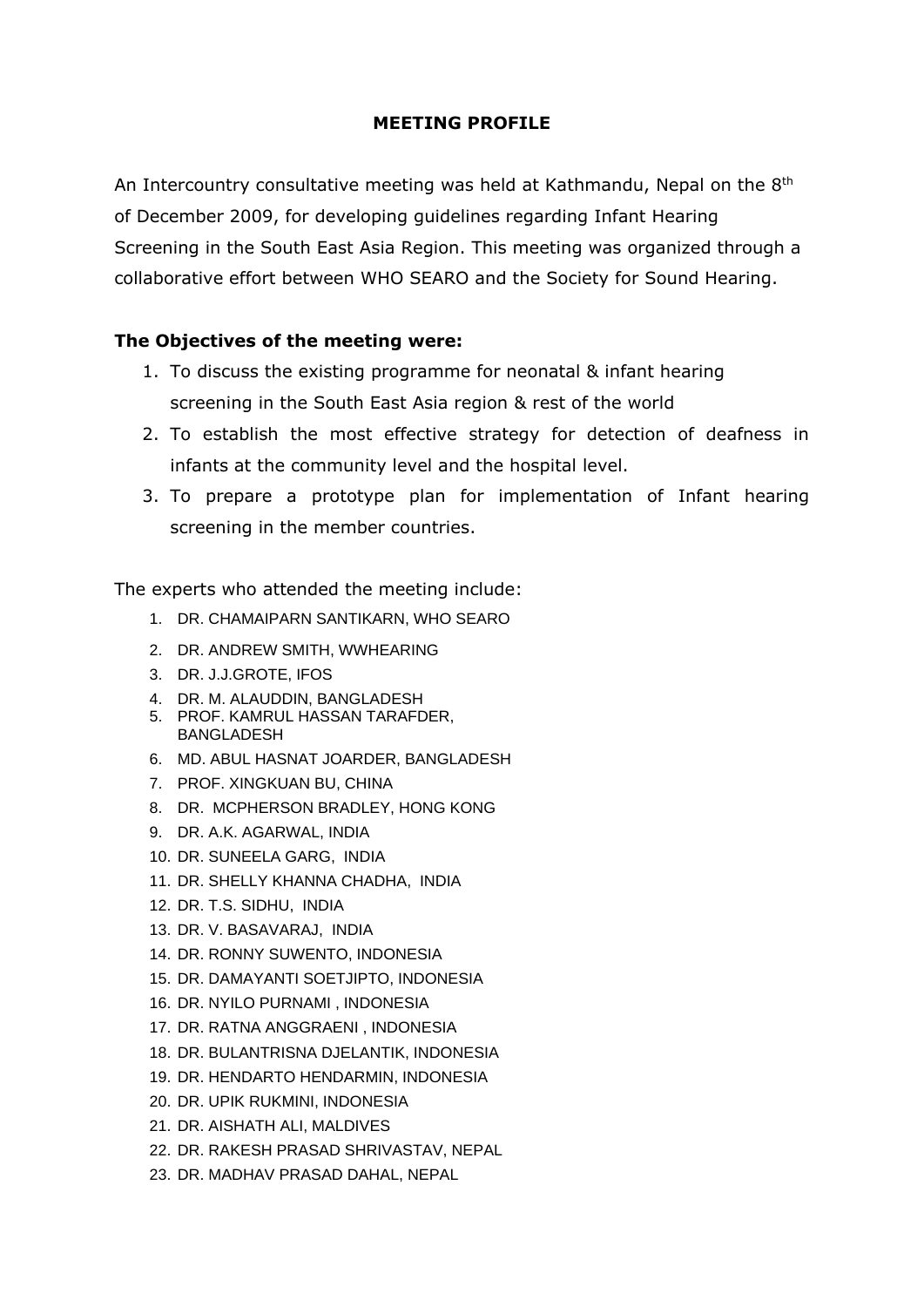### **MEETING PROFILE**

An Intercountry consultative meeting was held at Kathmandu, Nepal on the  $8<sup>th</sup>$ of December 2009, for developing guidelines regarding Infant Hearing Screening in the South East Asia Region. This meeting was organized through a collaborative effort between WHO SEARO and the Society for Sound Hearing.

## **The Objectives of the meeting were:**

- 1. To discuss the existing programme for neonatal & infant hearing screening in the South East Asia region & rest of the world
- 2. To establish the most effective strategy for detection of deafness in infants at the community level and the hospital level.
- 3. To prepare a prototype plan for implementation of Infant hearing screening in the member countries.

The experts who attended the meeting include:

- 1. DR. CHAMAIPARN SANTIKARN, WHO SEARO
- 2. DR. ANDREW SMITH, WWHEARING
- 3. DR. J.J.GROTE, IFOS
- 4. DR. M. ALAUDDIN, BANGLADESH
- 5. PROF. KAMRUL HASSAN TARAFDER, BANGLADESH
- 6. MD. ABUL HASNAT JOARDER, BANGLADESH
- 7. PROF. XINGKUAN BU, CHINA
- 8. DR. MCPHERSON BRADLEY, HONG KONG
- 9. DR. A.K. AGARWAL, INDIA
- 10. DR. SUNEELA GARG, INDIA
- 11. DR. SHELLY KHANNA CHADHA, INDIA
- 12. DR. T.S. SIDHU, INDIA
- 13. DR. V. BASAVARAJ, INDIA
- 14. DR. RONNY SUWENTO, INDONESIA
- 15. DR. DAMAYANTI SOETJIPTO, INDONESIA
- 16. DR. NYILO PURNAMI , INDONESIA
- 17. DR. RATNA ANGGRAENI , INDONESIA
- 18. DR. BULANTRISNA DJELANTIK, INDONESIA
- 19. DR. HENDARTO HENDARMIN, INDONESIA
- 20. DR. UPIK RUKMINI, INDONESIA
- 21. DR. AISHATH ALI, MALDIVES
- 22. DR. RAKESH PRASAD SHRIVASTAV, NEPAL
- 23. DR. MADHAV PRASAD DAHAL, NEPAL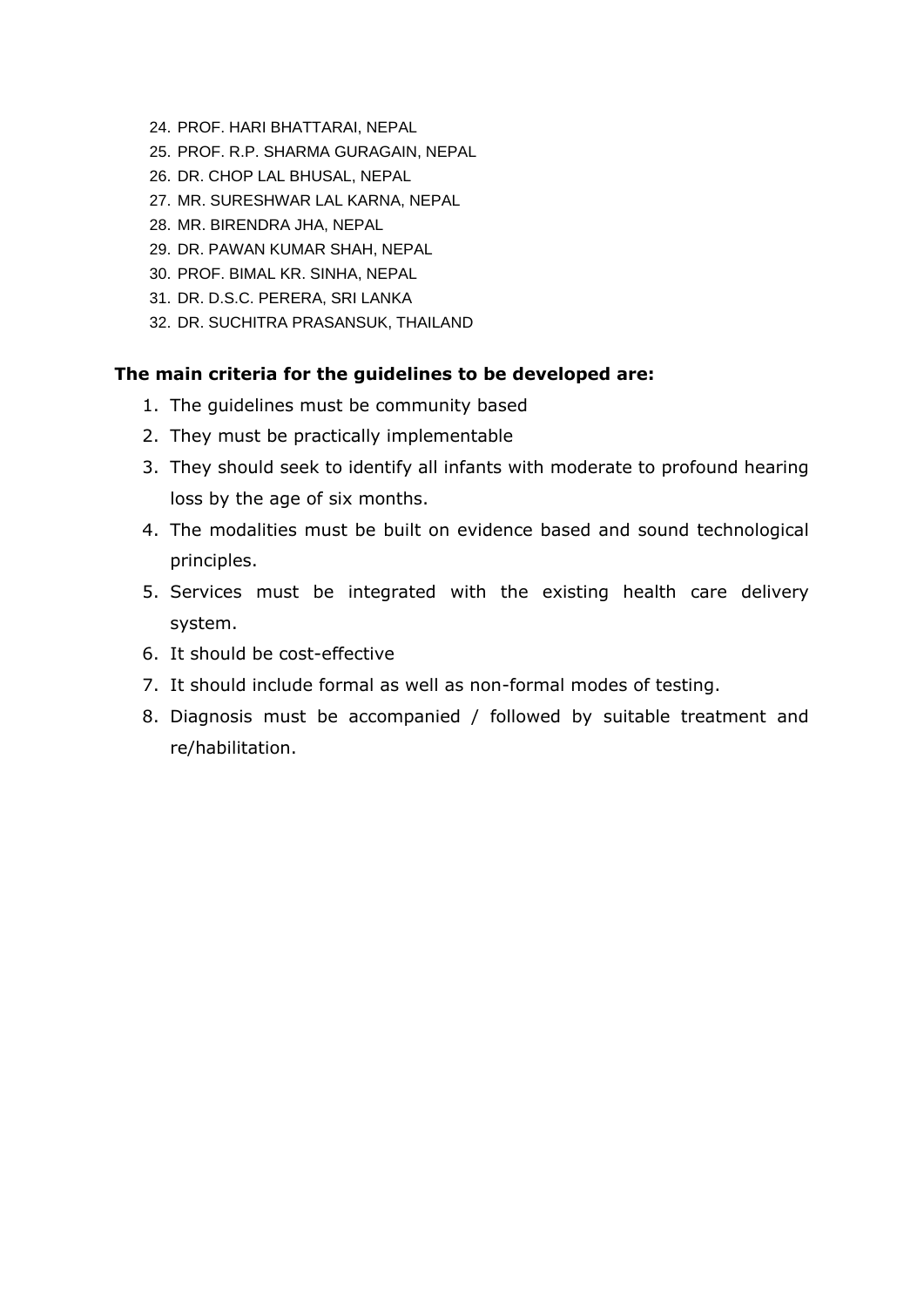- 24. PROF. HARI BHATTARAI, NEPAL
- 25. PROF. R.P. SHARMA GURAGAIN, NEPAL
- 26. DR. CHOP LAL BHUSAL, NEPAL
- 27. MR. SURESHWAR LAL KARNA, NEPAL
- 28. MR. BIRENDRA JHA, NEPAL
- 29. DR. PAWAN KUMAR SHAH, NEPAL
- 30. PROF. BIMAL KR. SINHA, NEPAL
- 31. DR. D.S.C. PERERA, SRI LANKA
- 32. DR. SUCHITRA PRASANSUK, THAILAND

### **The main criteria for the guidelines to be developed are:**

- 1. The guidelines must be community based
- 2. They must be practically implementable
- 3. They should seek to identify all infants with moderate to profound hearing loss by the age of six months.
- 4. The modalities must be built on evidence based and sound technological principles.
- 5. Services must be integrated with the existing health care delivery system.
- 6. It should be cost-effective
- 7. It should include formal as well as non-formal modes of testing.
- 8. Diagnosis must be accompanied / followed by suitable treatment and re/habilitation.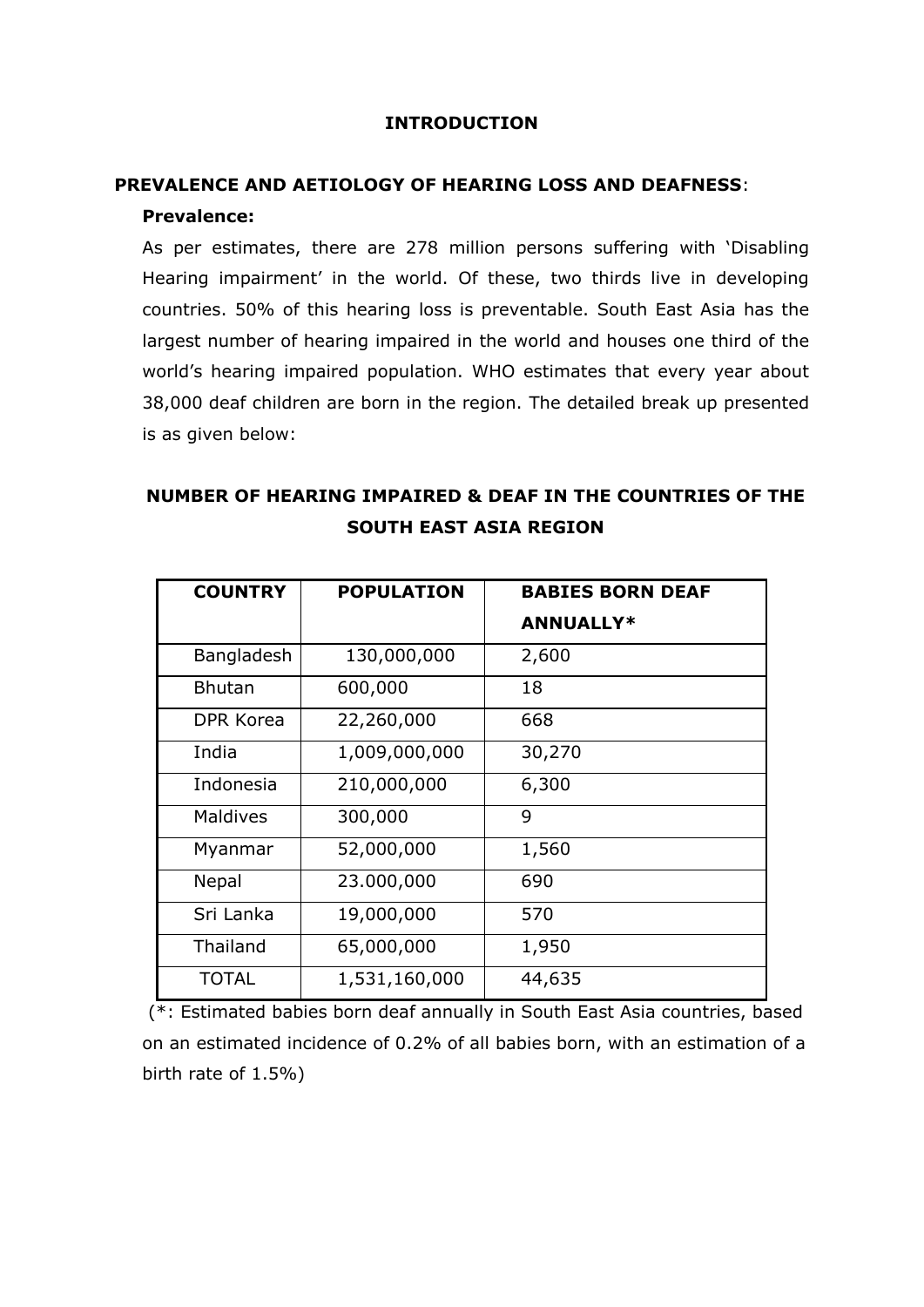#### **INTRODUCTION**

# **PREVALENCE AND AETIOLOGY OF HEARING LOSS AND DEAFNESS**:

### **Prevalence:**

As per estimates, there are 278 million persons suffering with 'Disabling Hearing impairment' in the world. Of these, two thirds live in developing countries. 50% of this hearing loss is preventable. South East Asia has the largest number of hearing impaired in the world and houses one third of the world's hearing impaired population. WHO estimates that every year about 38,000 deaf children are born in the region. The detailed break up presented is as given below:

# **NUMBER OF HEARING IMPAIRED & DEAF IN THE COUNTRIES OF THE SOUTH EAST ASIA REGION**

| <b>COUNTRY</b>  | <b>POPULATION</b> | <b>BABIES BORN DEAF</b> |  |
|-----------------|-------------------|-------------------------|--|
|                 |                   | <b>ANNUALLY*</b>        |  |
| Bangladesh      | 130,000,000       | 2,600                   |  |
| <b>Bhutan</b>   | 600,000           | 18                      |  |
| DPR Korea       | 22,260,000        | 668                     |  |
| India           | 1,009,000,000     | 30,270                  |  |
| Indonesia       | 210,000,000       | 6,300                   |  |
| Maldives        | 300,000           | 9                       |  |
| Myanmar         | 52,000,000        | 1,560                   |  |
| <b>Nepal</b>    | 23.000,000        | 690                     |  |
| Sri Lanka       | 19,000,000        | 570                     |  |
| <b>Thailand</b> | 65,000,000        | 1,950                   |  |
| <b>TOTAL</b>    | 1,531,160,000     | 44,635                  |  |

(\*: Estimated babies born deaf annually in South East Asia countries, based on an estimated incidence of 0.2% of all babies born, with an estimation of a birth rate of 1.5%)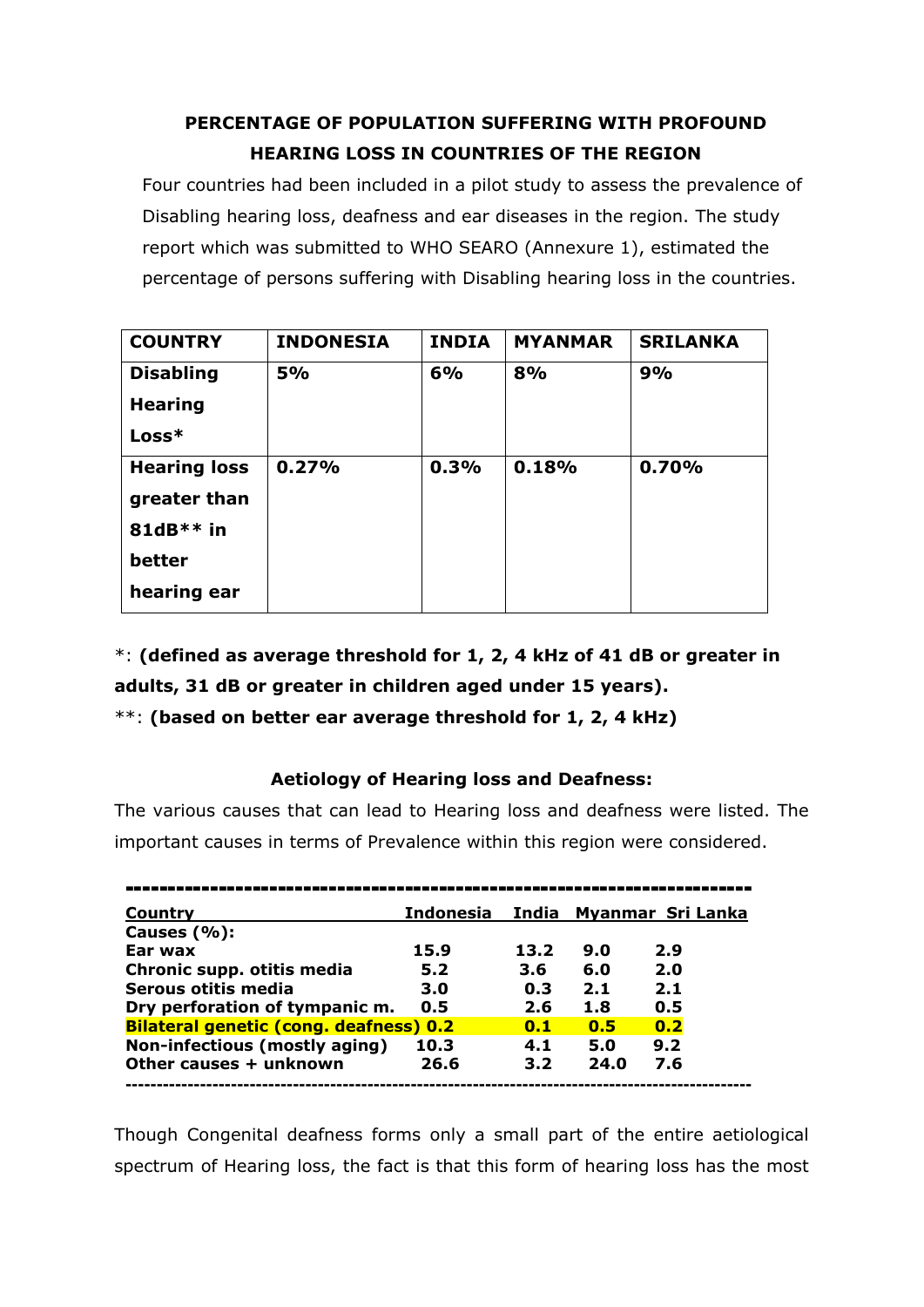# **PERCENTAGE OF POPULATION SUFFERING WITH PROFOUND HEARING LOSS IN COUNTRIES OF THE REGION**

Four countries had been included in a pilot study to assess the prevalence of Disabling hearing loss, deafness and ear diseases in the region. The study report which was submitted to WHO SEARO (Annexure 1), estimated the percentage of persons suffering with Disabling hearing loss in the countries.

| <b>COUNTRY</b>      | <b>INDONESIA</b> | <b>INDIA</b> | <b>MYANMAR</b> | <b>SRILANKA</b> |
|---------------------|------------------|--------------|----------------|-----------------|
| <b>Disabling</b>    | 5%               | 6%           | 8%             | 9%              |
| <b>Hearing</b>      |                  |              |                |                 |
| Loss*               |                  |              |                |                 |
| <b>Hearing loss</b> | 0.27%            | 0.3%         | 0.18%          | 0.70%           |
| greater than        |                  |              |                |                 |
| 81dB $*$ $*$ in     |                  |              |                |                 |
| better              |                  |              |                |                 |
| hearing ear         |                  |              |                |                 |

\*: **(defined as average threshold for 1, 2, 4 kHz of 41 dB or greater in adults, 31 dB or greater in children aged under 15 years).**

\*\*: **(based on better ear average threshold for 1, 2, 4 kHz)**

## **Aetiology of Hearing loss and Deafness:**

The various causes that can lead to Hearing loss and deafness were listed. The important causes in terms of Prevalence within this region were considered.

| Country                                       | Indonesia | India |      | Myanmar Sri Lanka |
|-----------------------------------------------|-----------|-------|------|-------------------|
| Causes $(\%):$                                |           |       |      |                   |
| Ear wax                                       | 15.9      | 13.2  | 9.0  | 2.9               |
| Chronic supp. otitis media                    | 5.2       | 3.6   | 6.0  | 2.0               |
| Serous otitis media                           | 3.0       | 0.3   | 2.1  | 2.1               |
| Dry perforation of tympanic m.                | 0.5       | 2.6   | 1.8  | 0.5               |
| <b>Bilateral genetic (cong. deafness) 0.2</b> |           | 0.1   | 0.5  | 0.2               |
| Non-infectious (mostly aging)                 | 10.3      | 4.1   | 5.0  | 9.2               |
| Other causes + unknown                        | 26.6      | 3.2   | 24.0 | 7.6               |
|                                               |           |       |      |                   |

Though Congenital deafness forms only a small part of the entire aetiological spectrum of Hearing loss, the fact is that this form of hearing loss has the most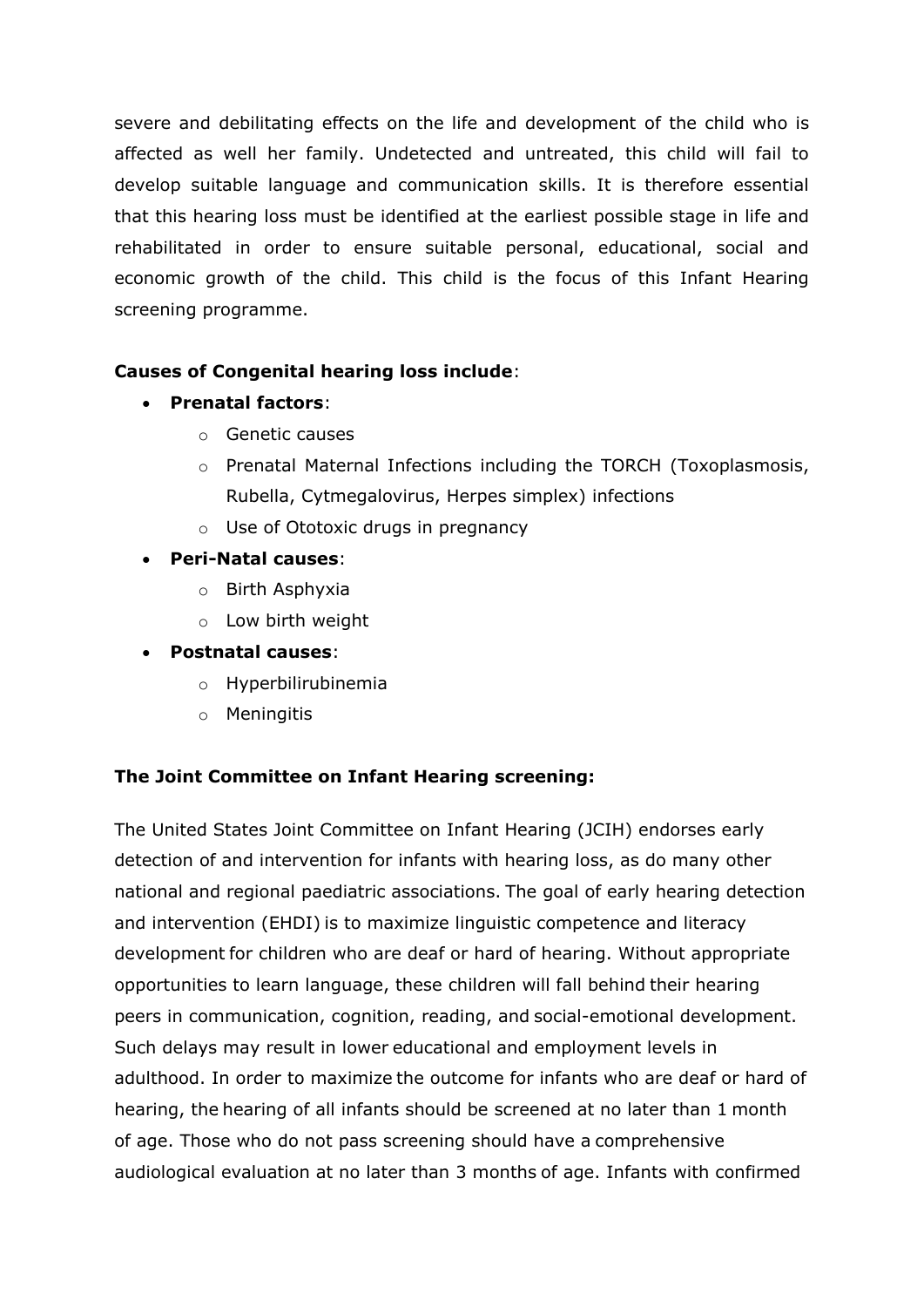severe and debilitating effects on the life and development of the child who is affected as well her family. Undetected and untreated, this child will fail to develop suitable language and communication skills. It is therefore essential that this hearing loss must be identified at the earliest possible stage in life and rehabilitated in order to ensure suitable personal, educational, social and economic growth of the child. This child is the focus of this Infant Hearing screening programme.

## **Causes of Congenital hearing loss include**:

- **Prenatal factors**:
	- o Genetic causes
	- o Prenatal Maternal Infections including the TORCH (Toxoplasmosis, Rubella, Cytmegalovirus, Herpes simplex) infections
	- o Use of Ototoxic drugs in pregnancy

## **Peri-Natal causes**:

- o Birth Asphyxia
- o Low birth weight
- **Postnatal causes**:
	- o Hyperbilirubinemia
	- o Meningitis

## **The Joint Committee on Infant Hearing screening:**

The United States Joint Committee on Infant Hearing (JCIH) endorses early detection of and intervention for infants with hearing loss, as do many other national and regional paediatric associations. The goal of early hearing detection and intervention (EHDI) is to maximize linguistic competence and literacy development for children who are deaf or hard of hearing. Without appropriate opportunities to learn language, these children will fall behind their hearing peers in communication, cognition, reading, and social-emotional development. Such delays may result in lower educational and employment levels in adulthood. In order to maximize the outcome for infants who are deaf or hard of hearing, the hearing of all infants should be screened at no later than 1 month of age. Those who do not pass screening should have a comprehensive audiological evaluation at no later than 3 months of age. Infants with confirmed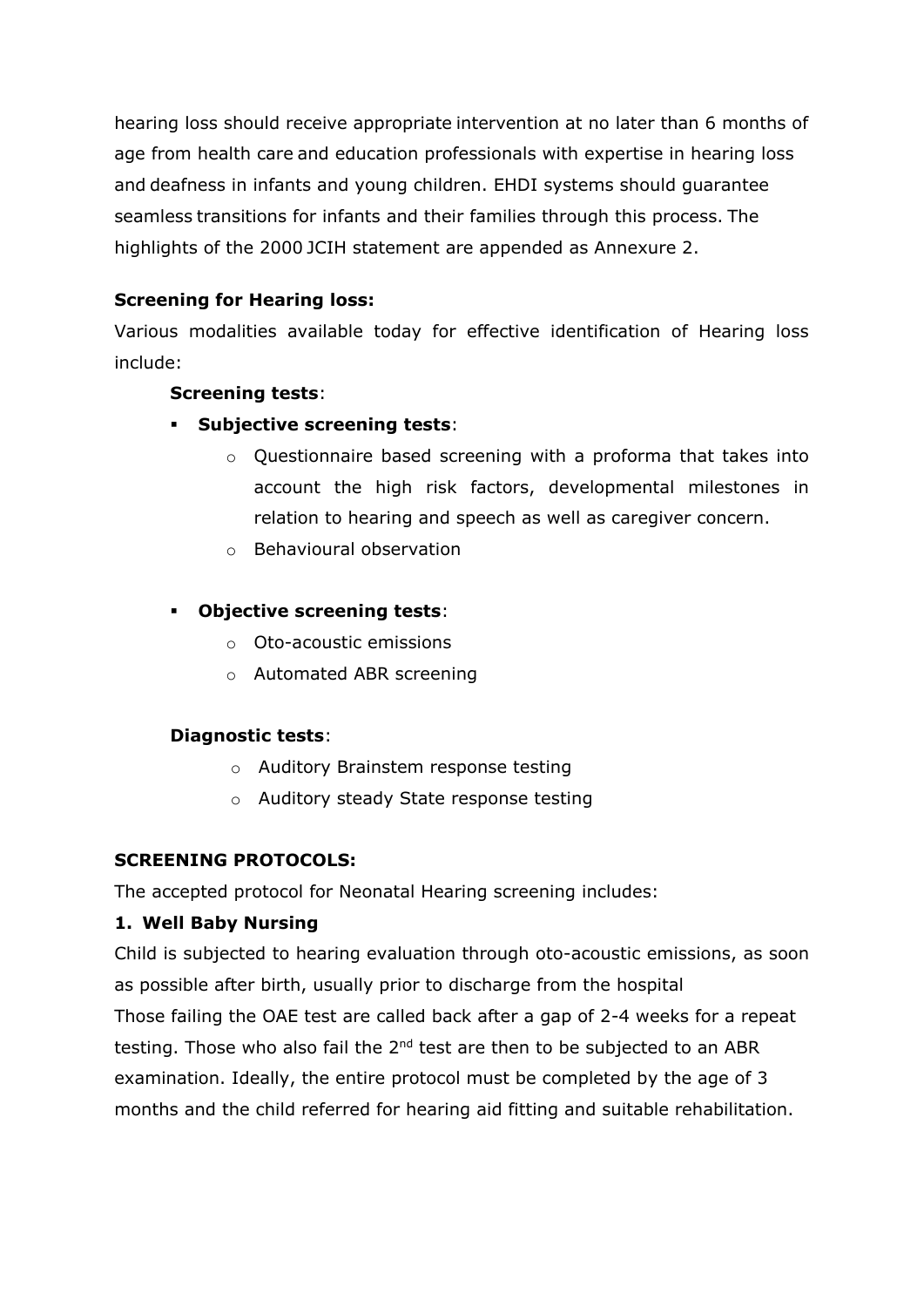hearing loss should receive appropriate intervention at no later than 6 months of age from health care and education professionals with expertise in hearing loss and deafness in infants and young children. EHDI systems should guarantee seamless transitions for infants and their families through this process. The highlights of the 2000 JCIH statement are appended as Annexure 2.

## **Screening for Hearing loss:**

Various modalities available today for effective identification of Hearing loss include:

## **Screening tests**:

- **Subjective screening tests**:
	- o Questionnaire based screening with a proforma that takes into account the high risk factors, developmental milestones in relation to hearing and speech as well as caregiver concern.
	- o Behavioural observation

## **Objective screening tests**:

- o Oto-acoustic emissions
- o Automated ABR screening

### **Diagnostic tests**:

- o Auditory Brainstem response testing
- o Auditory steady State response testing

## **SCREENING PROTOCOLS:**

The accepted protocol for Neonatal Hearing screening includes:

## **1. Well Baby Nursing**

Child is subjected to hearing evaluation through oto-acoustic emissions, as soon as possible after birth, usually prior to discharge from the hospital Those failing the OAE test are called back after a gap of 2-4 weeks for a repeat testing. Those who also fail the  $2<sup>nd</sup>$  test are then to be subjected to an ABR examination. Ideally, the entire protocol must be completed by the age of 3 months and the child referred for hearing aid fitting and suitable rehabilitation.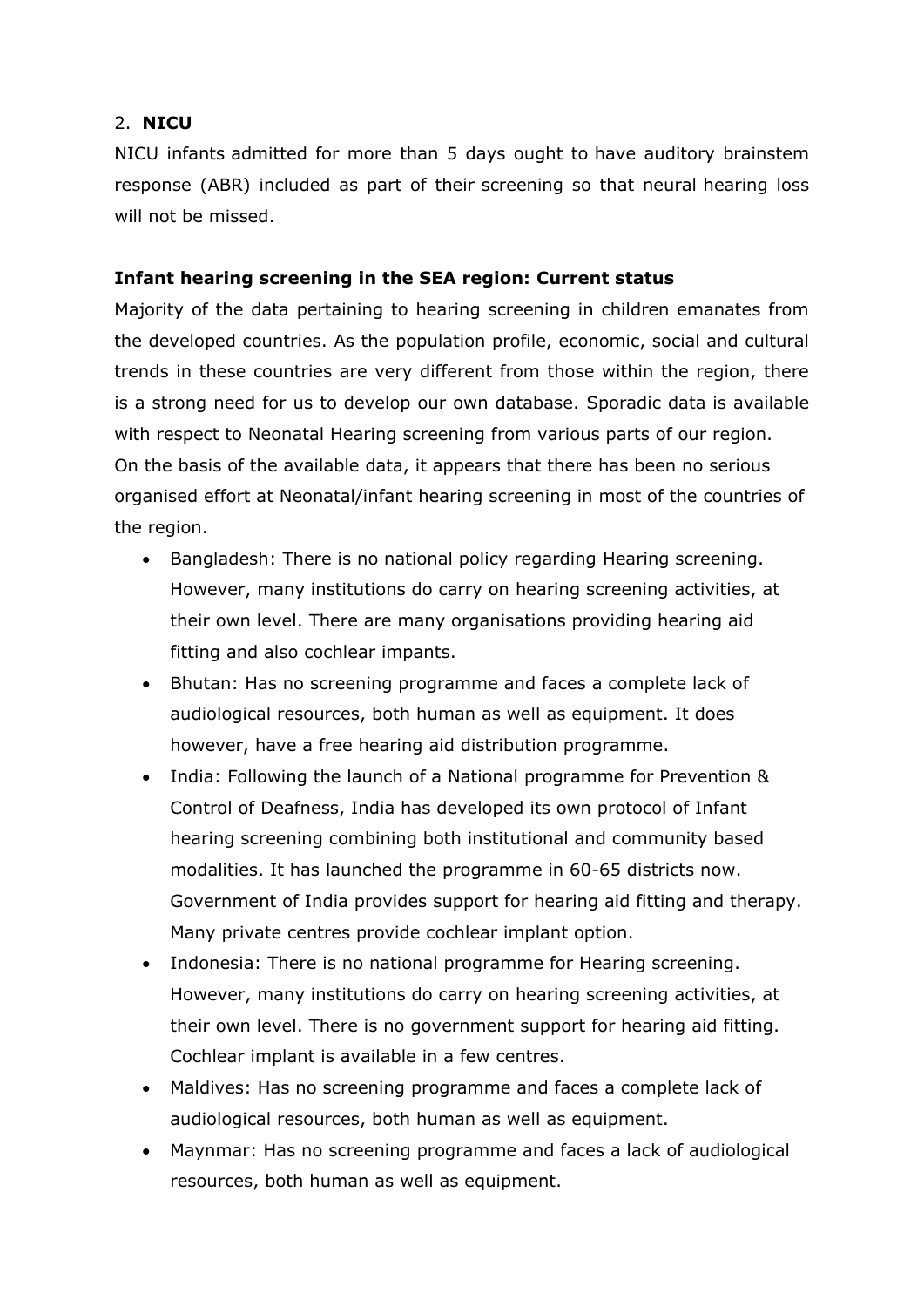## 2. **NICU**

NICU infants admitted for more than 5 days ought to have auditory brainstem response (ABR) included as part of their screening so that neural hearing loss will not be missed.

## **Infant hearing screening in the SEA region: Current status**

Majority of the data pertaining to hearing screening in children emanates from the developed countries. As the population profile, economic, social and cultural trends in these countries are very different from those within the region, there is a strong need for us to develop our own database. Sporadic data is available with respect to Neonatal Hearing screening from various parts of our region. On the basis of the available data, it appears that there has been no serious organised effort at Neonatal/infant hearing screening in most of the countries of the region.

- Bangladesh: There is no national policy regarding Hearing screening. However, many institutions do carry on hearing screening activities, at their own level. There are many organisations providing hearing aid fitting and also cochlear impants.
- Bhutan: Has no screening programme and faces a complete lack of audiological resources, both human as well as equipment. It does however, have a free hearing aid distribution programme.
- India: Following the launch of a National programme for Prevention & Control of Deafness, India has developed its own protocol of Infant hearing screening combining both institutional and community based modalities. It has launched the programme in 60-65 districts now. Government of India provides support for hearing aid fitting and therapy. Many private centres provide cochlear implant option.
- Indonesia: There is no national programme for Hearing screening. However, many institutions do carry on hearing screening activities, at their own level. There is no government support for hearing aid fitting. Cochlear implant is available in a few centres.
- Maldives: Has no screening programme and faces a complete lack of audiological resources, both human as well as equipment.
- Maynmar: Has no screening programme and faces a lack of audiological resources, both human as well as equipment.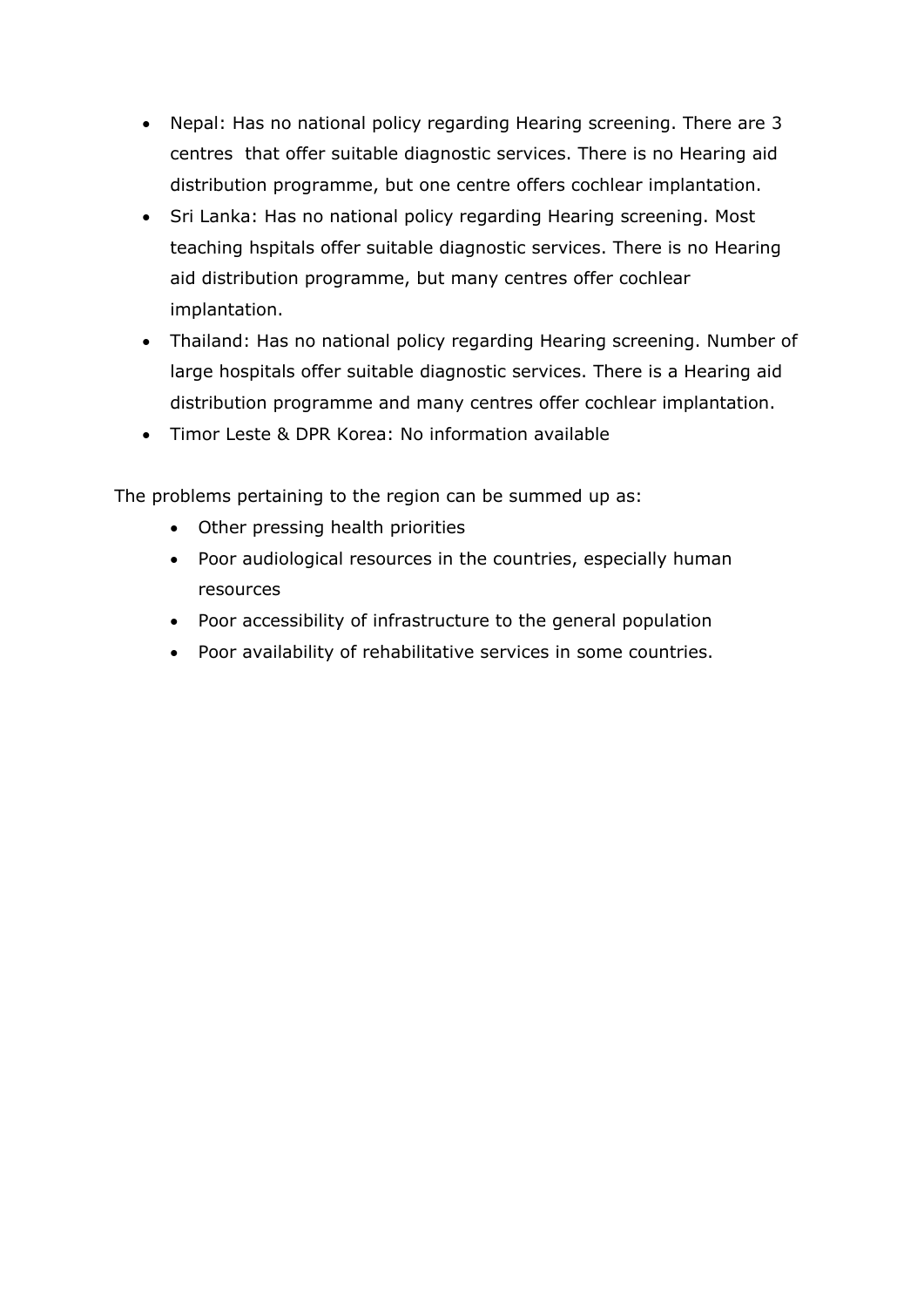- Nepal: Has no national policy regarding Hearing screening. There are 3 centres that offer suitable diagnostic services. There is no Hearing aid distribution programme, but one centre offers cochlear implantation.
- Sri Lanka: Has no national policy regarding Hearing screening. Most teaching hspitals offer suitable diagnostic services. There is no Hearing aid distribution programme, but many centres offer cochlear implantation.
- Thailand: Has no national policy regarding Hearing screening. Number of large hospitals offer suitable diagnostic services. There is a Hearing aid distribution programme and many centres offer cochlear implantation.
- Timor Leste & DPR Korea: No information available

The problems pertaining to the region can be summed up as:

- Other pressing health priorities
- Poor audiological resources in the countries, especially human resources
- Poor accessibility of infrastructure to the general population
- Poor availability of rehabilitative services in some countries.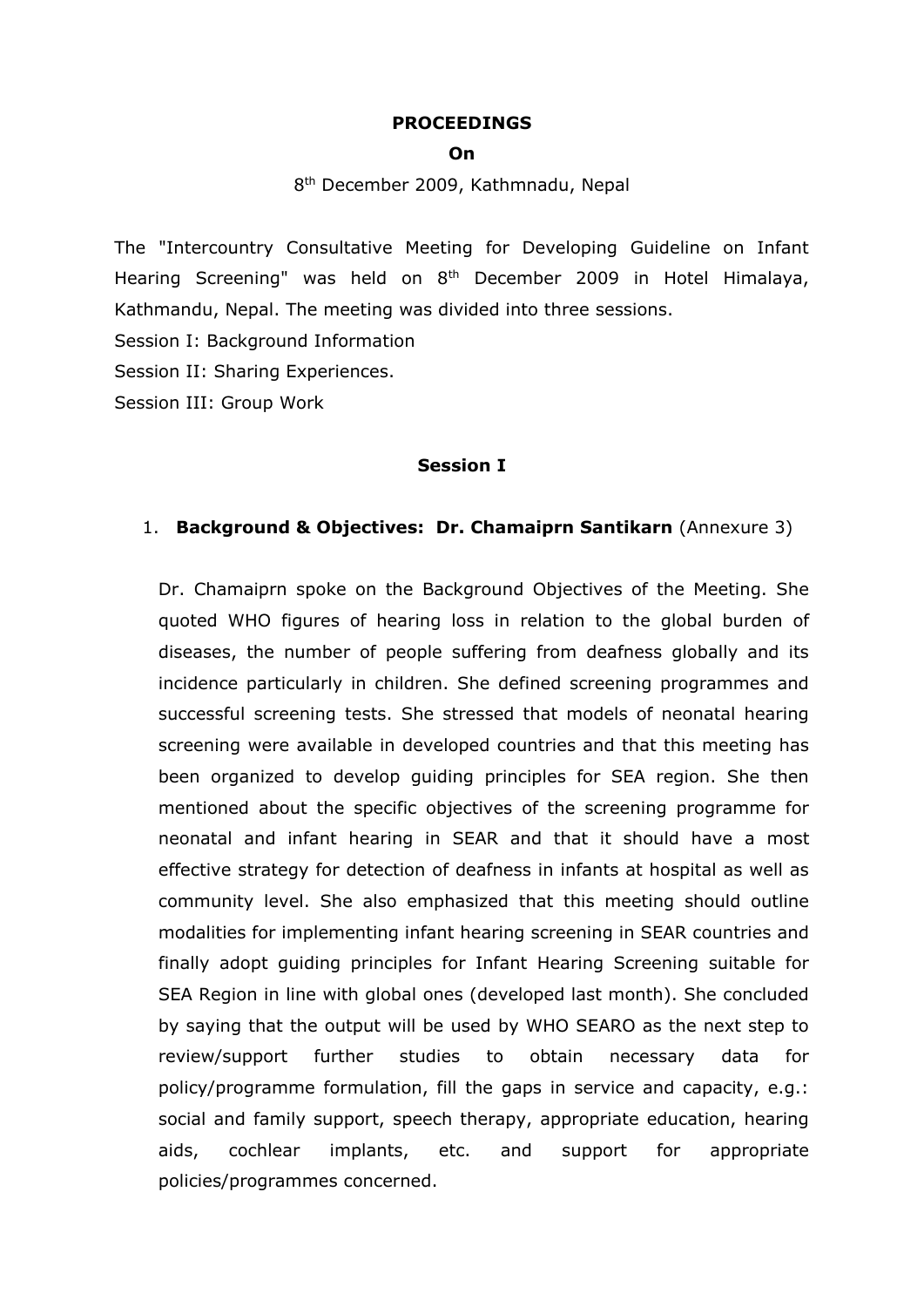#### **PROCEEDINGS**

#### **On**

8<sup>th</sup> December 2009, Kathmnadu, Nepal

The "Intercountry Consultative Meeting for Developing Guideline on Infant Hearing Screening" was held on 8<sup>th</sup> December 2009 in Hotel Himalaya, Kathmandu, Nepal. The meeting was divided into three sessions.

Session I: Background Information

Session II: Sharing Experiences.

Session III: Group Work

#### **Session I**

#### 1. **Background & Objectives: Dr. Chamaiprn Santikarn** (Annexure 3)

Dr. Chamaiprn spoke on the Background Objectives of the Meeting. She quoted WHO figures of hearing loss in relation to the global burden of diseases, the number of people suffering from deafness globally and its incidence particularly in children. She defined screening programmes and successful screening tests. She stressed that models of neonatal hearing screening were available in developed countries and that this meeting has been organized to develop guiding principles for SEA region. She then mentioned about the specific objectives of the screening programme for neonatal and infant hearing in SEAR and that it should have a most effective strategy for detection of deafness in infants at hospital as well as community level. She also emphasized that this meeting should outline modalities for implementing infant hearing screening in SEAR countries and finally adopt guiding principles for Infant Hearing Screening suitable for SEA Region in line with global ones (developed last month). She concluded by saying that the output will be used by WHO SEARO as the next step to review/support further studies to obtain necessary data for policy/programme formulation, fill the gaps in service and capacity, e.g.: social and family support, speech therapy, appropriate education, hearing aids, cochlear implants, etc. and support for appropriate policies/programmes concerned.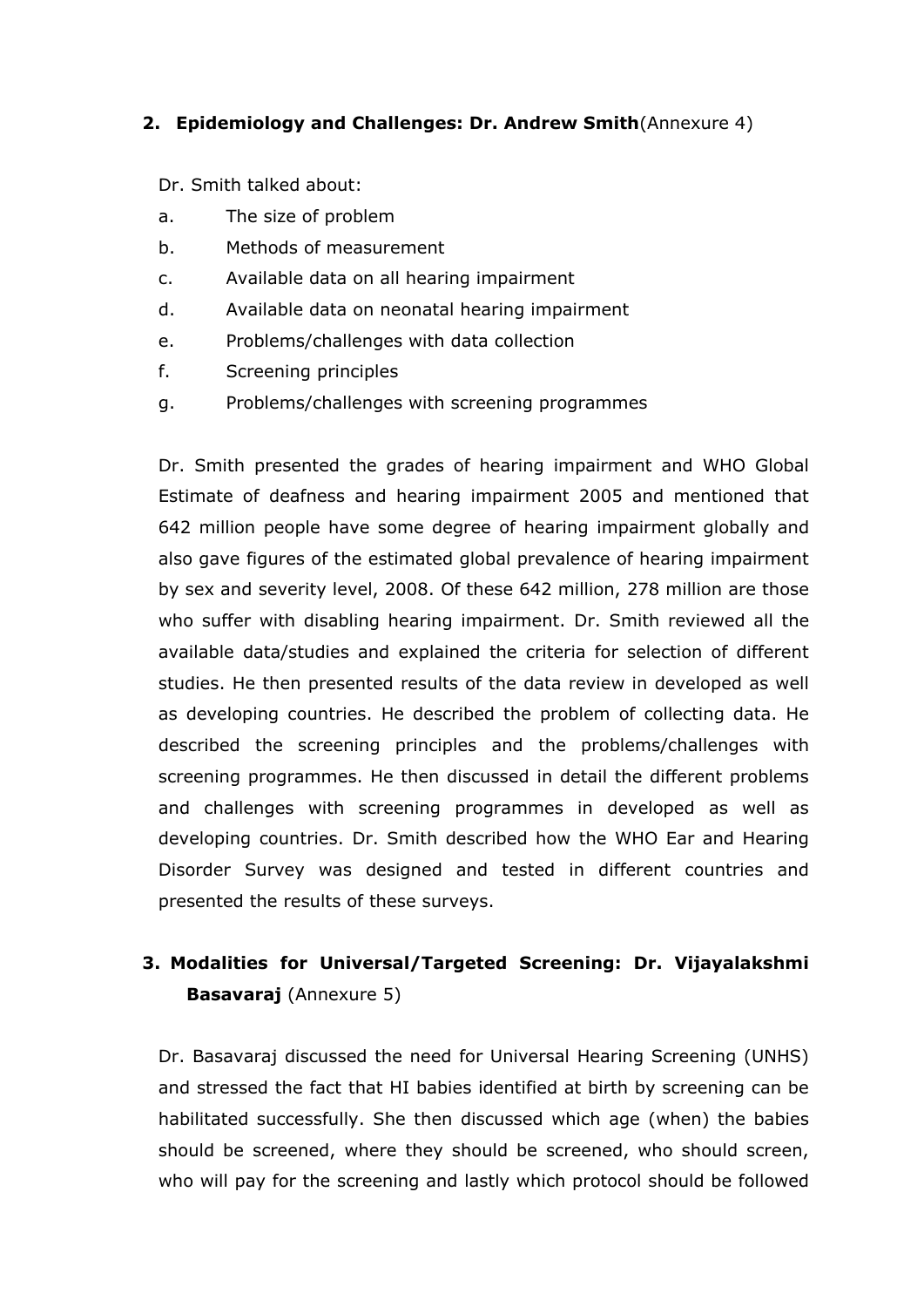### **2. Epidemiology and Challenges: Dr. Andrew Smith**(Annexure 4)

Dr. Smith talked about:

- a. The size of problem
- b. Methods of measurement
- c. Available data on all hearing impairment
- d. Available data on neonatal hearing impairment
- e. Problems/challenges with data collection
- f. Screening principles
- g. Problems/challenges with screening programmes

Dr. Smith presented the grades of hearing impairment and WHO Global Estimate of deafness and hearing impairment 2005 and mentioned that 642 million people have some degree of hearing impairment globally and also gave figures of the estimated global prevalence of hearing impairment by sex and severity level, 2008. Of these 642 million, 278 million are those who suffer with disabling hearing impairment. Dr. Smith reviewed all the available data/studies and explained the criteria for selection of different studies. He then presented results of the data review in developed as well as developing countries. He described the problem of collecting data. He described the screening principles and the problems/challenges with screening programmes. He then discussed in detail the different problems and challenges with screening programmes in developed as well as developing countries. Dr. Smith described how the WHO Ear and Hearing Disorder Survey was designed and tested in different countries and presented the results of these surveys.

# **3. Modalities for Universal/Targeted Screening: Dr. Vijayalakshmi Basavaraj** (Annexure 5)

Dr. Basavaraj discussed the need for Universal Hearing Screening (UNHS) and stressed the fact that HI babies identified at birth by screening can be habilitated successfully. She then discussed which age (when) the babies should be screened, where they should be screened, who should screen, who will pay for the screening and lastly which protocol should be followed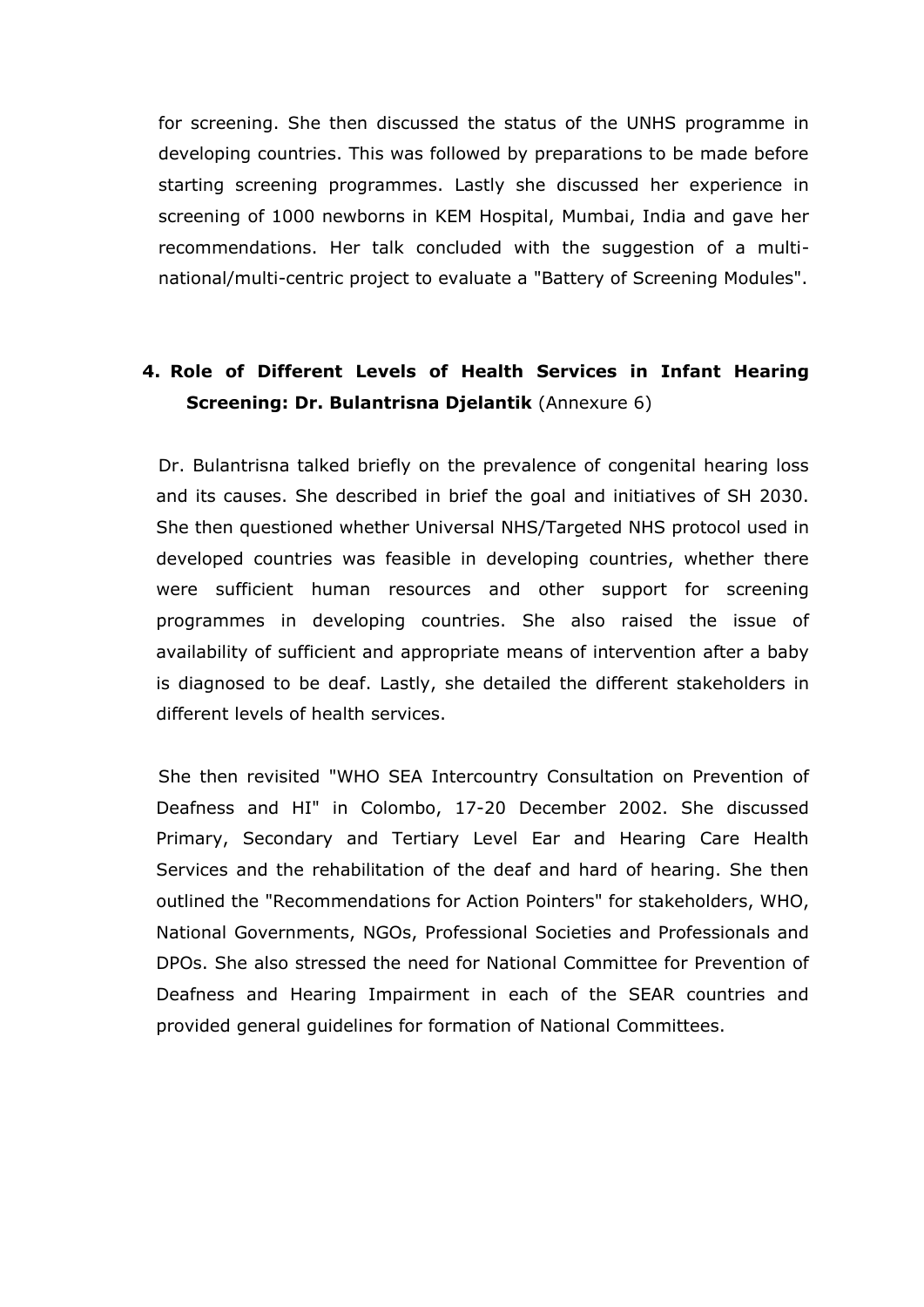for screening. She then discussed the status of the UNHS programme in developing countries. This was followed by preparations to be made before starting screening programmes. Lastly she discussed her experience in screening of 1000 newborns in KEM Hospital, Mumbai, India and gave her recommendations. Her talk concluded with the suggestion of a multinational/multi-centric project to evaluate a "Battery of Screening Modules".

# **4. Role of Different Levels of Health Services in Infant Hearing Screening: Dr. Bulantrisna Djelantik** (Annexure 6)

Dr. Bulantrisna talked briefly on the prevalence of congenital hearing loss and its causes. She described in brief the goal and initiatives of SH 2030. She then questioned whether Universal NHS/Targeted NHS protocol used in developed countries was feasible in developing countries, whether there were sufficient human resources and other support for screening programmes in developing countries. She also raised the issue of availability of sufficient and appropriate means of intervention after a baby is diagnosed to be deaf. Lastly, she detailed the different stakeholders in different levels of health services.

She then revisited "WHO SEA Intercountry Consultation on Prevention of Deafness and HI" in Colombo, 17-20 December 2002. She discussed Primary, Secondary and Tertiary Level Ear and Hearing Care Health Services and the rehabilitation of the deaf and hard of hearing. She then outlined the "Recommendations for Action Pointers" for stakeholders, WHO, National Governments, NGOs, Professional Societies and Professionals and DPOs. She also stressed the need for National Committee for Prevention of Deafness and Hearing Impairment in each of the SEAR countries and provided general guidelines for formation of National Committees.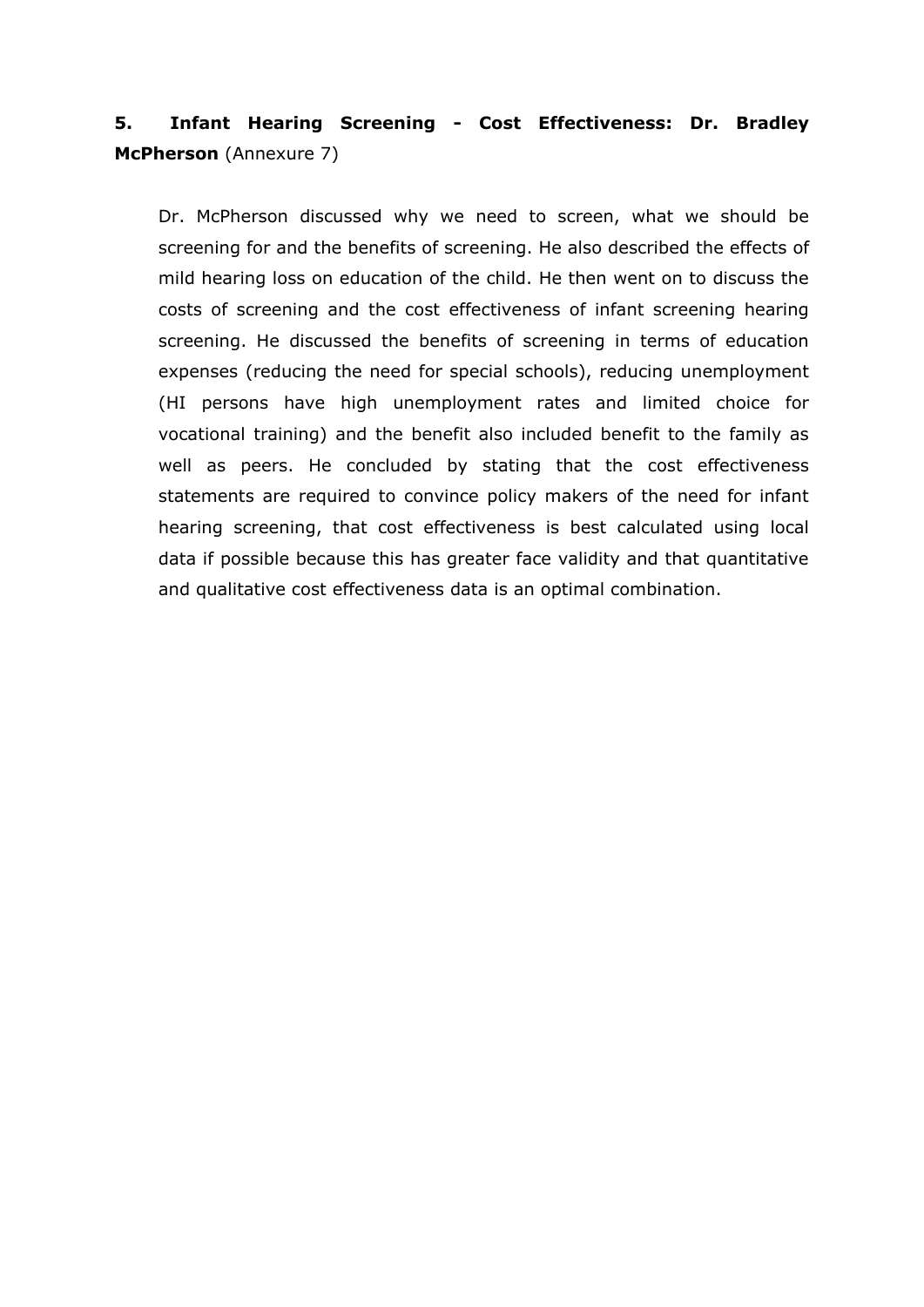# **5. Infant Hearing Screening - Cost Effectiveness: Dr. Bradley McPherson** (Annexure 7)

Dr. McPherson discussed why we need to screen, what we should be screening for and the benefits of screening. He also described the effects of mild hearing loss on education of the child. He then went on to discuss the costs of screening and the cost effectiveness of infant screening hearing screening. He discussed the benefits of screening in terms of education expenses (reducing the need for special schools), reducing unemployment (HI persons have high unemployment rates and limited choice for vocational training) and the benefit also included benefit to the family as well as peers. He concluded by stating that the cost effectiveness statements are required to convince policy makers of the need for infant hearing screening, that cost effectiveness is best calculated using local data if possible because this has greater face validity and that quantitative and qualitative cost effectiveness data is an optimal combination.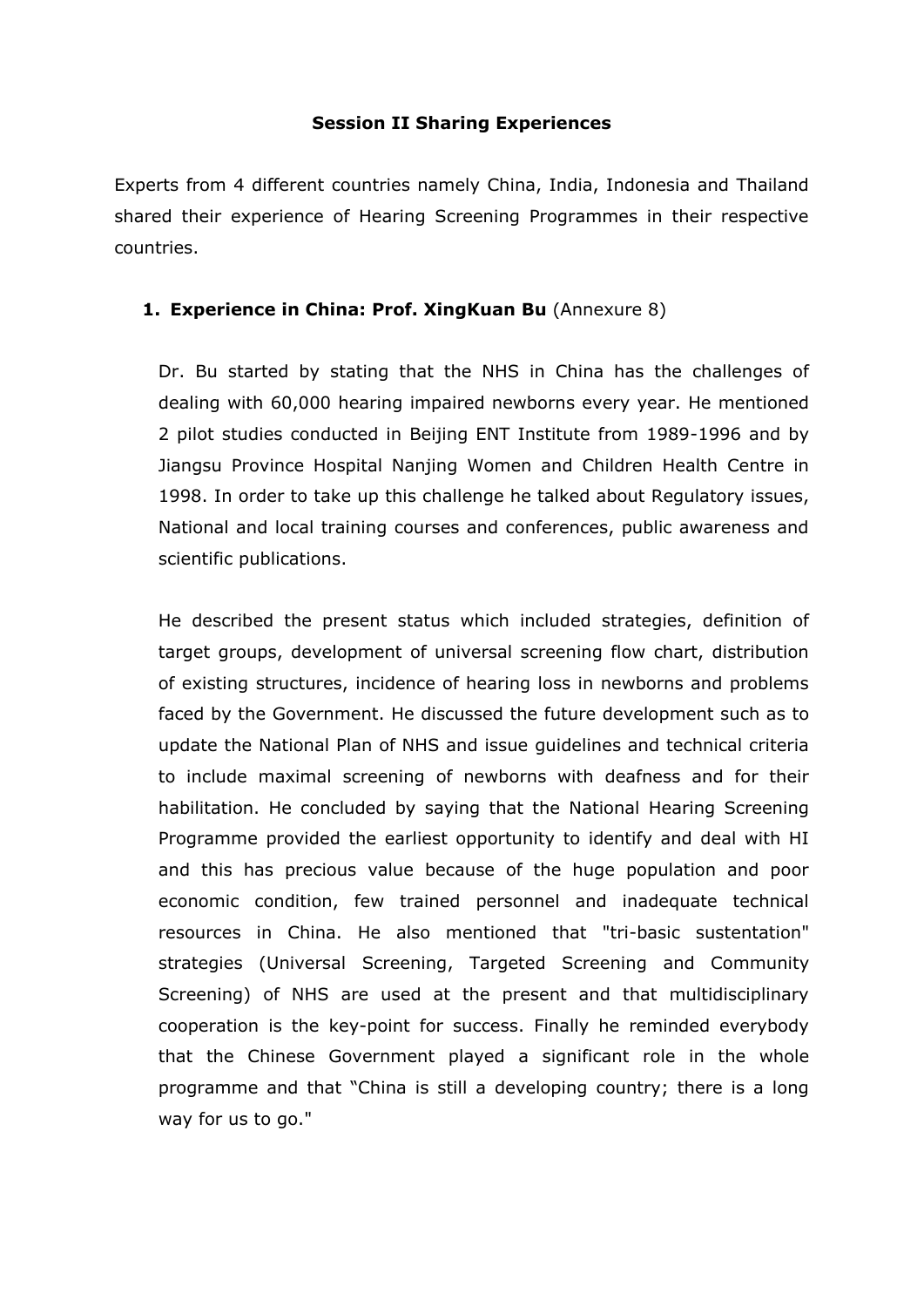### **Session II Sharing Experiences**

Experts from 4 different countries namely China, India, Indonesia and Thailand shared their experience of Hearing Screening Programmes in their respective countries.

### **1. Experience in China: Prof. XingKuan Bu** (Annexure 8)

Dr. Bu started by stating that the NHS in China has the challenges of dealing with 60,000 hearing impaired newborns every year. He mentioned 2 pilot studies conducted in Beijing ENT Institute from 1989-1996 and by Jiangsu Province Hospital Nanjing Women and Children Health Centre in 1998. In order to take up this challenge he talked about Regulatory issues, National and local training courses and conferences, public awareness and scientific publications.

He described the present status which included strategies, definition of target groups, development of universal screening flow chart, distribution of existing structures, incidence of hearing loss in newborns and problems faced by the Government. He discussed the future development such as to update the National Plan of NHS and issue guidelines and technical criteria to include maximal screening of newborns with deafness and for their habilitation. He concluded by saying that the National Hearing Screening Programme provided the earliest opportunity to identify and deal with HI and this has precious value because of the huge population and poor economic condition, few trained personnel and inadequate technical resources in China. He also mentioned that "tri-basic sustentation" strategies (Universal Screening, Targeted Screening and Community Screening) of NHS are used at the present and that multidisciplinary cooperation is the key-point for success. Finally he reminded everybody that the Chinese Government played a significant role in the whole programme and that "China is still a developing country; there is a long way for us to go."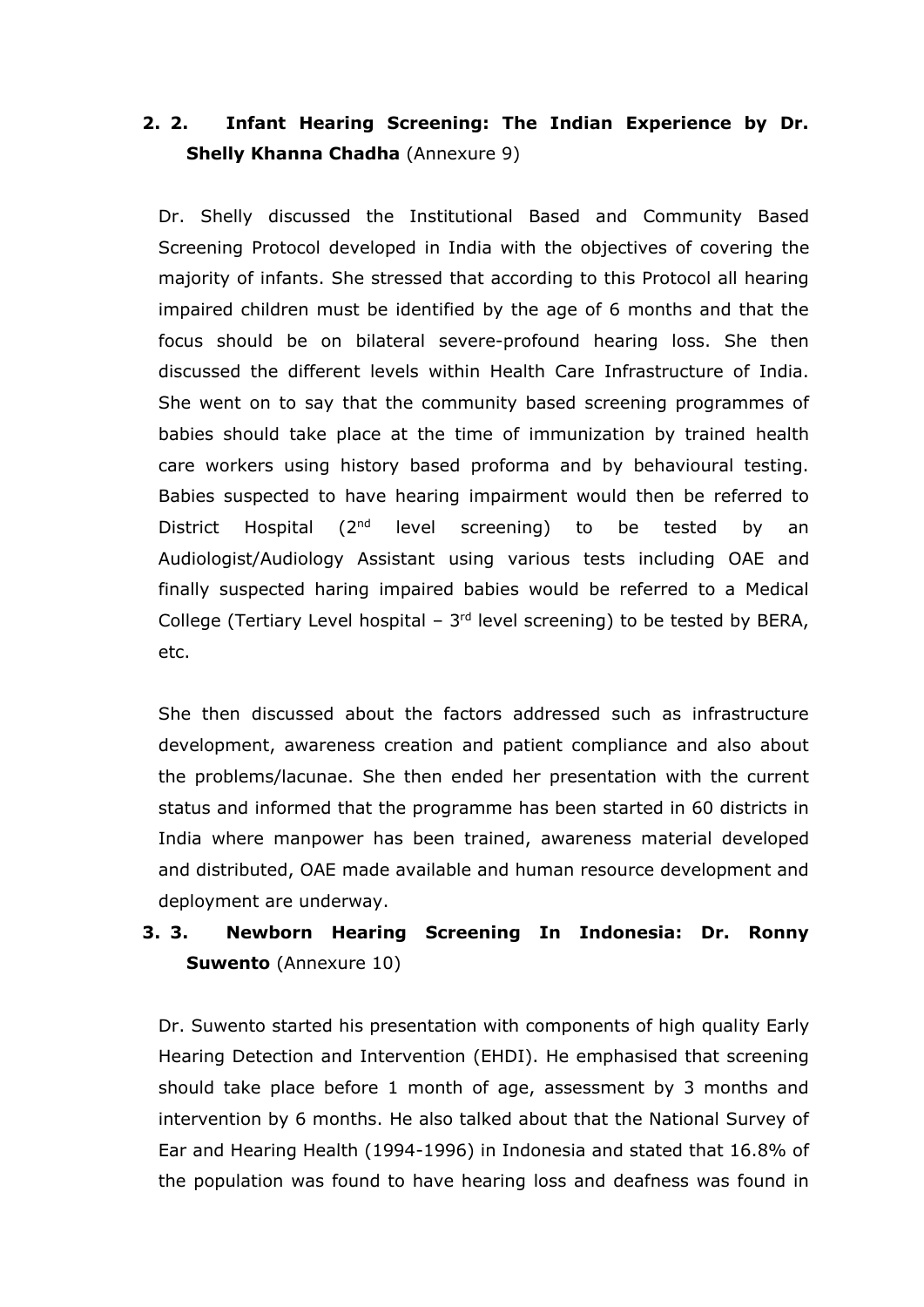# **2. 2. Infant Hearing Screening: The Indian Experience by Dr. Shelly Khanna Chadha** (Annexure 9)

Dr. Shelly discussed the Institutional Based and Community Based Screening Protocol developed in India with the objectives of covering the majority of infants. She stressed that according to this Protocol all hearing impaired children must be identified by the age of 6 months and that the focus should be on bilateral severe-profound hearing loss. She then discussed the different levels within Health Care Infrastructure of India. She went on to say that the community based screening programmes of babies should take place at the time of immunization by trained health care workers using history based proforma and by behavioural testing. Babies suspected to have hearing impairment would then be referred to District Hospital (2<sup>nd</sup> level screening) to be tested by an Audiologist/Audiology Assistant using various tests including OAE and finally suspected haring impaired babies would be referred to a Medical College (Tertiary Level hospital  $-3<sup>rd</sup>$  level screening) to be tested by BERA, etc.

She then discussed about the factors addressed such as infrastructure development, awareness creation and patient compliance and also about the problems/lacunae. She then ended her presentation with the current status and informed that the programme has been started in 60 districts in India where manpower has been trained, awareness material developed and distributed, OAE made available and human resource development and deployment are underway.

# **3. 3. Newborn Hearing Screening In Indonesia: Dr. Ronny Suwento** (Annexure 10)

Dr. Suwento started his presentation with components of high quality Early Hearing Detection and Intervention (EHDI). He emphasised that screening should take place before 1 month of age, assessment by 3 months and intervention by 6 months. He also talked about that the National Survey of Ear and Hearing Health (1994-1996) in Indonesia and stated that 16.8% of the population was found to have hearing loss and deafness was found in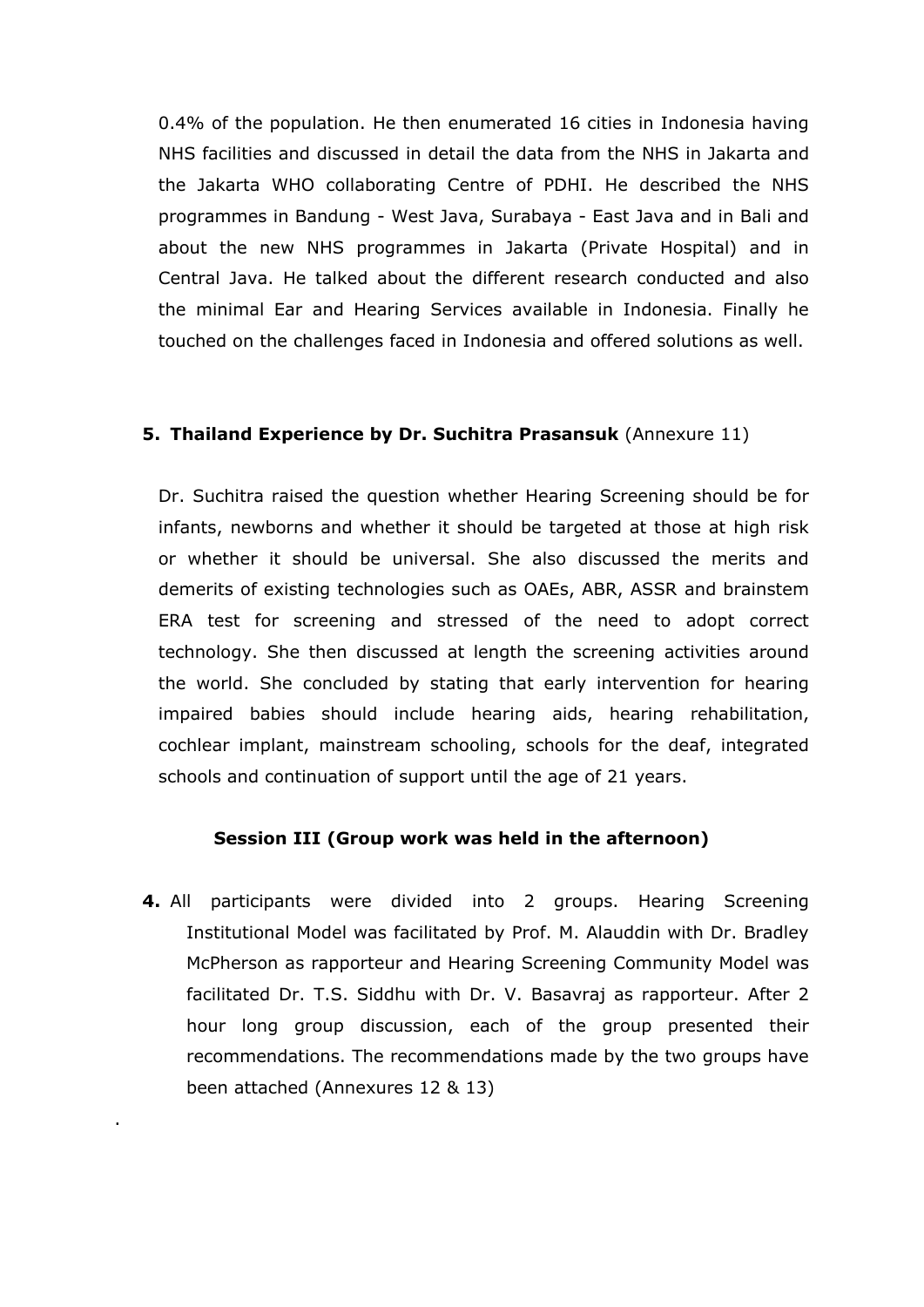0.4% of the population. He then enumerated 16 cities in Indonesia having NHS facilities and discussed in detail the data from the NHS in Jakarta and the Jakarta WHO collaborating Centre of PDHI. He described the NHS programmes in Bandung - West Java, Surabaya - East Java and in Bali and about the new NHS programmes in Jakarta (Private Hospital) and in Central Java. He talked about the different research conducted and also the minimal Ear and Hearing Services available in Indonesia. Finally he touched on the challenges faced in Indonesia and offered solutions as well.

### **5. Thailand Experience by Dr. Suchitra Prasansuk** (Annexure 11)

Dr. Suchitra raised the question whether Hearing Screening should be for infants, newborns and whether it should be targeted at those at high risk or whether it should be universal. She also discussed the merits and demerits of existing technologies such as OAEs, ABR, ASSR and brainstem ERA test for screening and stressed of the need to adopt correct technology. She then discussed at length the screening activities around the world. She concluded by stating that early intervention for hearing impaired babies should include hearing aids, hearing rehabilitation, cochlear implant, mainstream schooling, schools for the deaf, integrated schools and continuation of support until the age of 21 years.

### **Session III (Group work was held in the afternoon)**

**4.** All participants were divided into 2 groups. Hearing Screening Institutional Model was facilitated by Prof. M. Alauddin with Dr. Bradley McPherson as rapporteur and Hearing Screening Community Model was facilitated Dr. T.S. Siddhu with Dr. V. Basavraj as rapporteur. After 2 hour long group discussion, each of the group presented their recommendations. The recommendations made by the two groups have been attached (Annexures 12 & 13)

.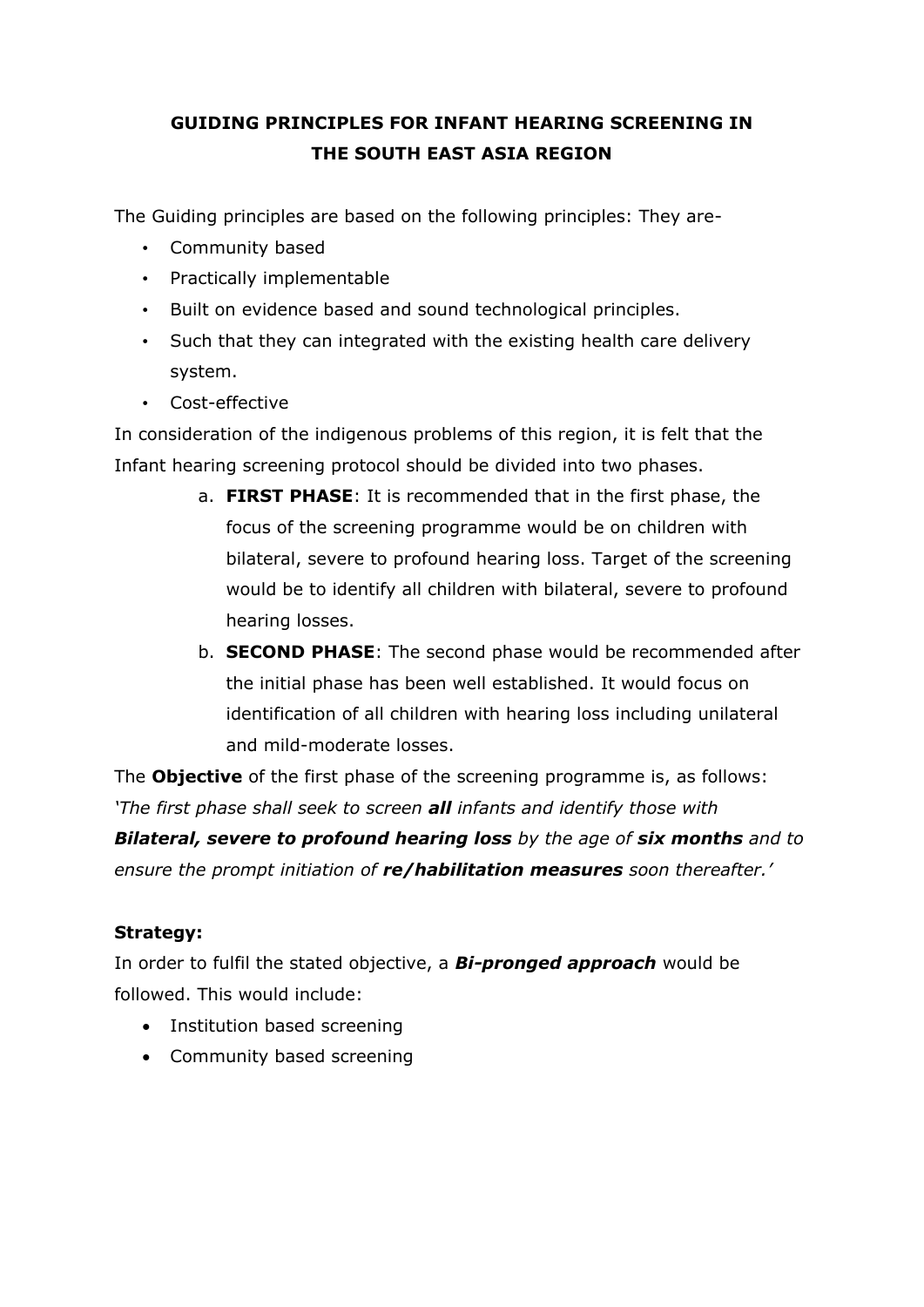# **GUIDING PRINCIPLES FOR INFANT HEARING SCREENING IN THE SOUTH EAST ASIA REGION**

The Guiding principles are based on the following principles: They are-

- Community based
- Practically implementable
- Built on evidence based and sound technological principles.
- Such that they can integrated with the existing health care delivery system.
- Cost-effective

In consideration of the indigenous problems of this region, it is felt that the Infant hearing screening protocol should be divided into two phases.

- a. **FIRST PHASE**: It is recommended that in the first phase, the focus of the screening programme would be on children with bilateral, severe to profound hearing loss. Target of the screening would be to identify all children with bilateral, severe to profound hearing losses.
- b. **SECOND PHASE**: The second phase would be recommended after the initial phase has been well established. It would focus on identification of all children with hearing loss including unilateral and mild-moderate losses.

The **Objective** of the first phase of the screening programme is, as follows: *'The first phase shall seek to screen all infants and identify those with* 

**Bilateral, severe to profound hearing loss** by the age of **six months** and to *ensure the prompt initiation of re/habilitation measures soon thereafter.'*

## **Strategy:**

In order to fulfil the stated objective, a *Bi-pronged approach* would be followed. This would include:

- Institution based screening
- Community based screening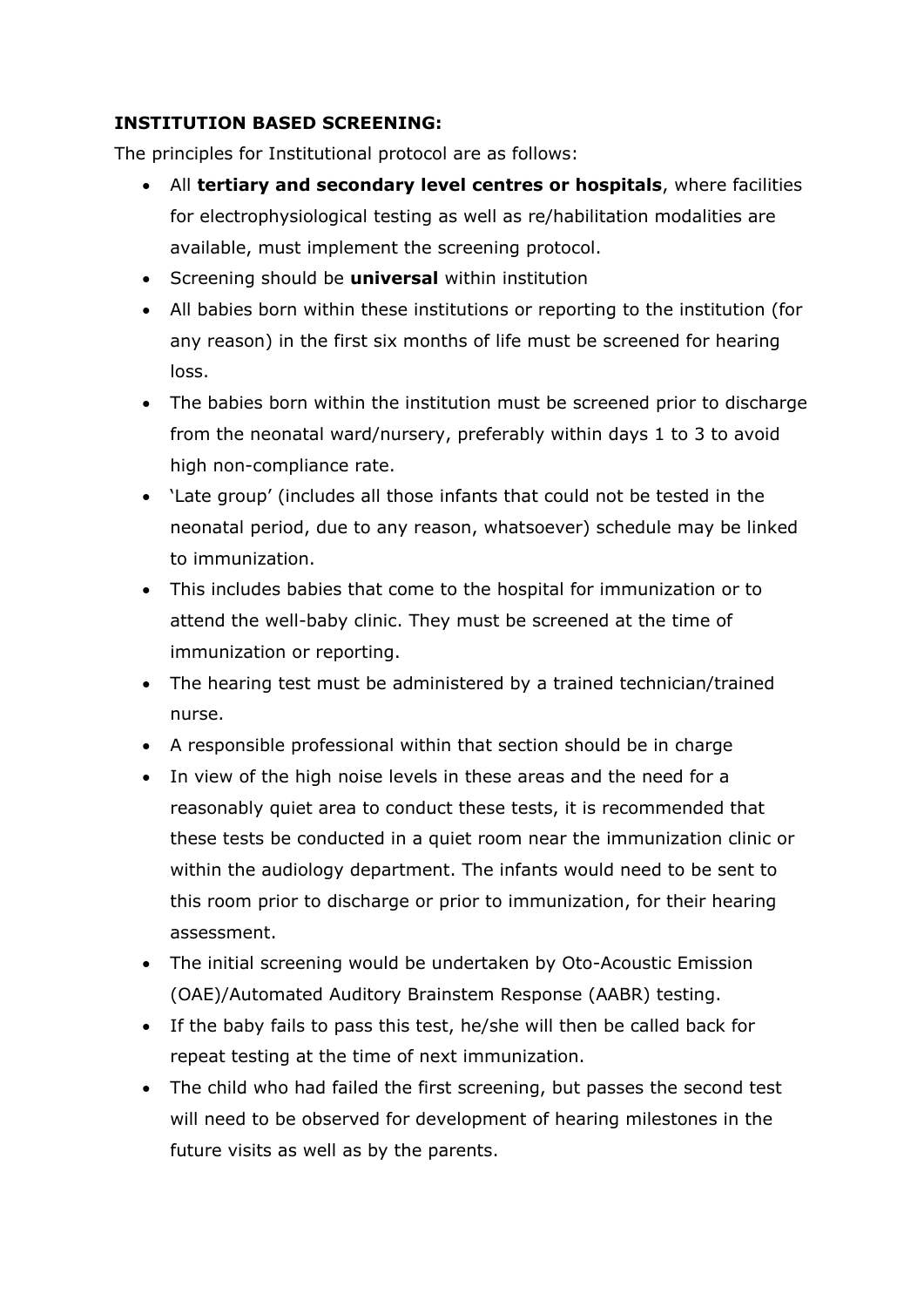## **INSTITUTION BASED SCREENING:**

The principles for Institutional protocol are as follows:

- All **tertiary and secondary level centres or hospitals**, where facilities for electrophysiological testing as well as re/habilitation modalities are available, must implement the screening protocol.
- Screening should be **universal** within institution
- All babies born within these institutions or reporting to the institution (for any reason) in the first six months of life must be screened for hearing loss.
- The babies born within the institution must be screened prior to discharge from the neonatal ward/nursery, preferably within days 1 to 3 to avoid high non-compliance rate.
- 'Late group' (includes all those infants that could not be tested in the neonatal period, due to any reason, whatsoever) schedule may be linked to immunization.
- This includes babies that come to the hospital for immunization or to attend the well-baby clinic. They must be screened at the time of immunization or reporting.
- The hearing test must be administered by a trained technician/trained nurse.
- A responsible professional within that section should be in charge
- In view of the high noise levels in these areas and the need for a reasonably quiet area to conduct these tests, it is recommended that these tests be conducted in a quiet room near the immunization clinic or within the audiology department. The infants would need to be sent to this room prior to discharge or prior to immunization, for their hearing assessment.
- The initial screening would be undertaken by Oto-Acoustic Emission (OAE)/Automated Auditory Brainstem Response (AABR) testing.
- If the baby fails to pass this test, he/she will then be called back for repeat testing at the time of next immunization.
- The child who had failed the first screening, but passes the second test will need to be observed for development of hearing milestones in the future visits as well as by the parents.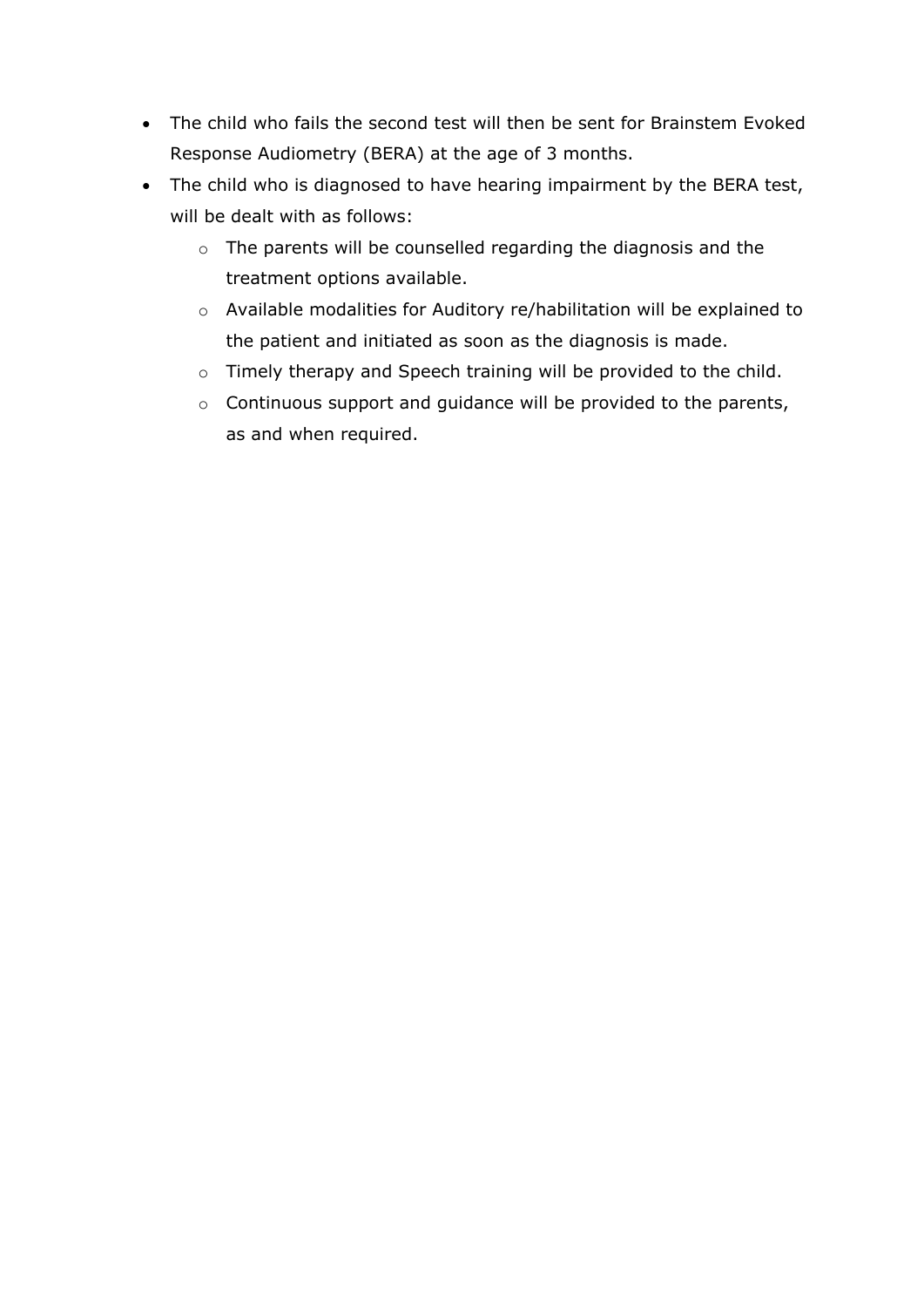- The child who fails the second test will then be sent for Brainstem Evoked Response Audiometry (BERA) at the age of 3 months.
- The child who is diagnosed to have hearing impairment by the BERA test, will be dealt with as follows:
	- o The parents will be counselled regarding the diagnosis and the treatment options available.
	- o Available modalities for Auditory re/habilitation will be explained to the patient and initiated as soon as the diagnosis is made.
	- o Timely therapy and Speech training will be provided to the child.
	- o Continuous support and guidance will be provided to the parents, as and when required.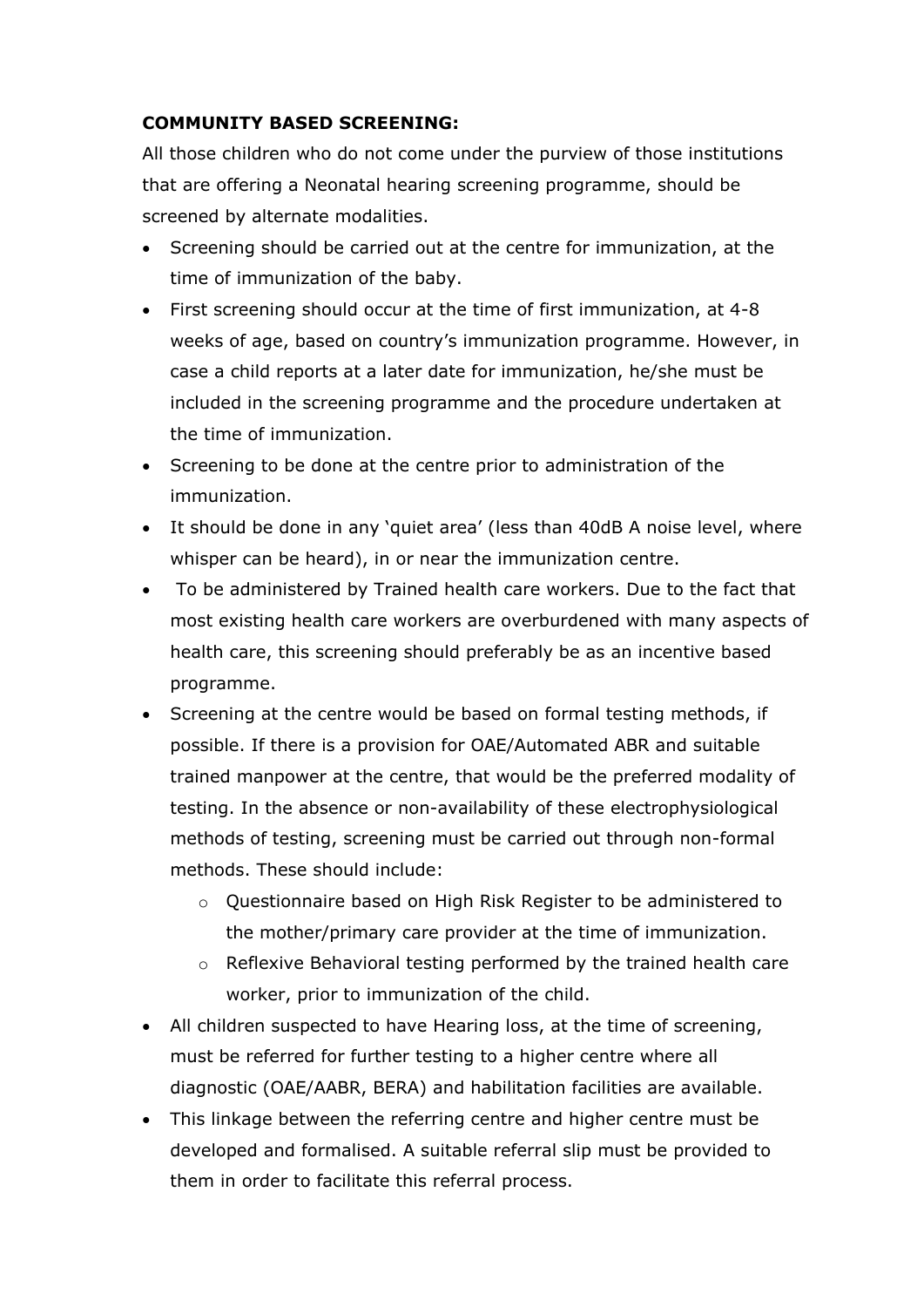## **COMMUNITY BASED SCREENING:**

All those children who do not come under the purview of those institutions that are offering a Neonatal hearing screening programme, should be screened by alternate modalities.

- Screening should be carried out at the centre for immunization, at the time of immunization of the baby.
- First screening should occur at the time of first immunization, at 4-8 weeks of age, based on country's immunization programme. However, in case a child reports at a later date for immunization, he/she must be included in the screening programme and the procedure undertaken at the time of immunization.
- Screening to be done at the centre prior to administration of the immunization.
- It should be done in any 'quiet area' (less than 40dB A noise level, where whisper can be heard), in or near the immunization centre.
- To be administered by Trained health care workers. Due to the fact that most existing health care workers are overburdened with many aspects of health care, this screening should preferably be as an incentive based programme.
- Screening at the centre would be based on formal testing methods, if possible. If there is a provision for OAE/Automated ABR and suitable trained manpower at the centre, that would be the preferred modality of testing. In the absence or non-availability of these electrophysiological methods of testing, screening must be carried out through non-formal methods. These should include:
	- o Questionnaire based on High Risk Register to be administered to the mother/primary care provider at the time of immunization.
	- o Reflexive Behavioral testing performed by the trained health care worker, prior to immunization of the child.
- All children suspected to have Hearing loss, at the time of screening, must be referred for further testing to a higher centre where all diagnostic (OAE/AABR, BERA) and habilitation facilities are available.
- This linkage between the referring centre and higher centre must be developed and formalised. A suitable referral slip must be provided to them in order to facilitate this referral process.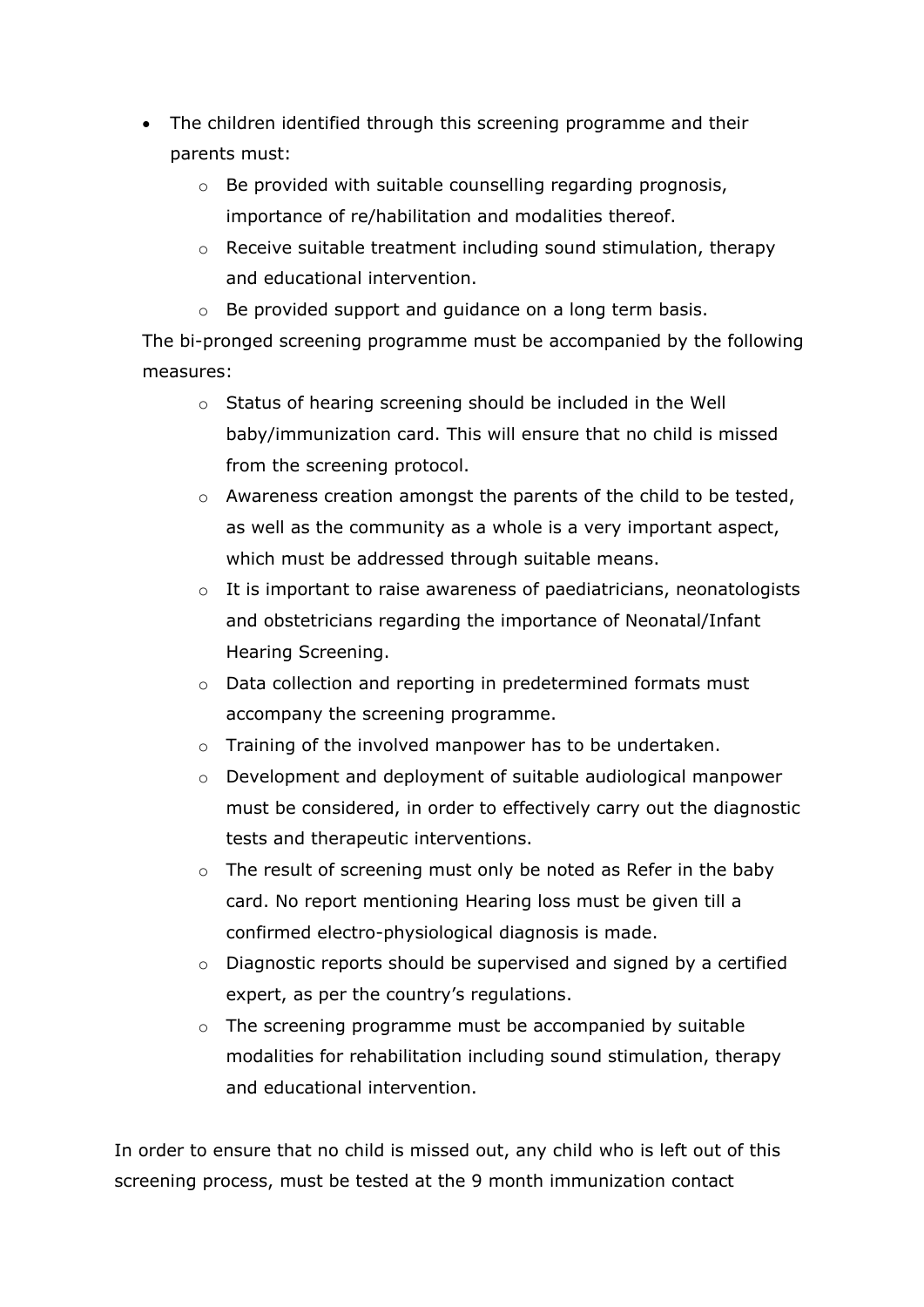- The children identified through this screening programme and their parents must:
	- o Be provided with suitable counselling regarding prognosis, importance of re/habilitation and modalities thereof.
	- o Receive suitable treatment including sound stimulation, therapy and educational intervention.
	- o Be provided support and guidance on a long term basis.

The bi-pronged screening programme must be accompanied by the following measures:

- o Status of hearing screening should be included in the Well baby/immunization card. This will ensure that no child is missed from the screening protocol.
- o Awareness creation amongst the parents of the child to be tested, as well as the community as a whole is a very important aspect, which must be addressed through suitable means.
- o It is important to raise awareness of paediatricians, neonatologists and obstetricians regarding the importance of Neonatal/Infant Hearing Screening.
- o Data collection and reporting in predetermined formats must accompany the screening programme.
- o Training of the involved manpower has to be undertaken.
- o Development and deployment of suitable audiological manpower must be considered, in order to effectively carry out the diagnostic tests and therapeutic interventions.
- o The result of screening must only be noted as Refer in the baby card. No report mentioning Hearing loss must be given till a confirmed electro-physiological diagnosis is made.
- o Diagnostic reports should be supervised and signed by a certified expert, as per the country's regulations.
- o The screening programme must be accompanied by suitable modalities for rehabilitation including sound stimulation, therapy and educational intervention.

In order to ensure that no child is missed out, any child who is left out of this screening process, must be tested at the 9 month immunization contact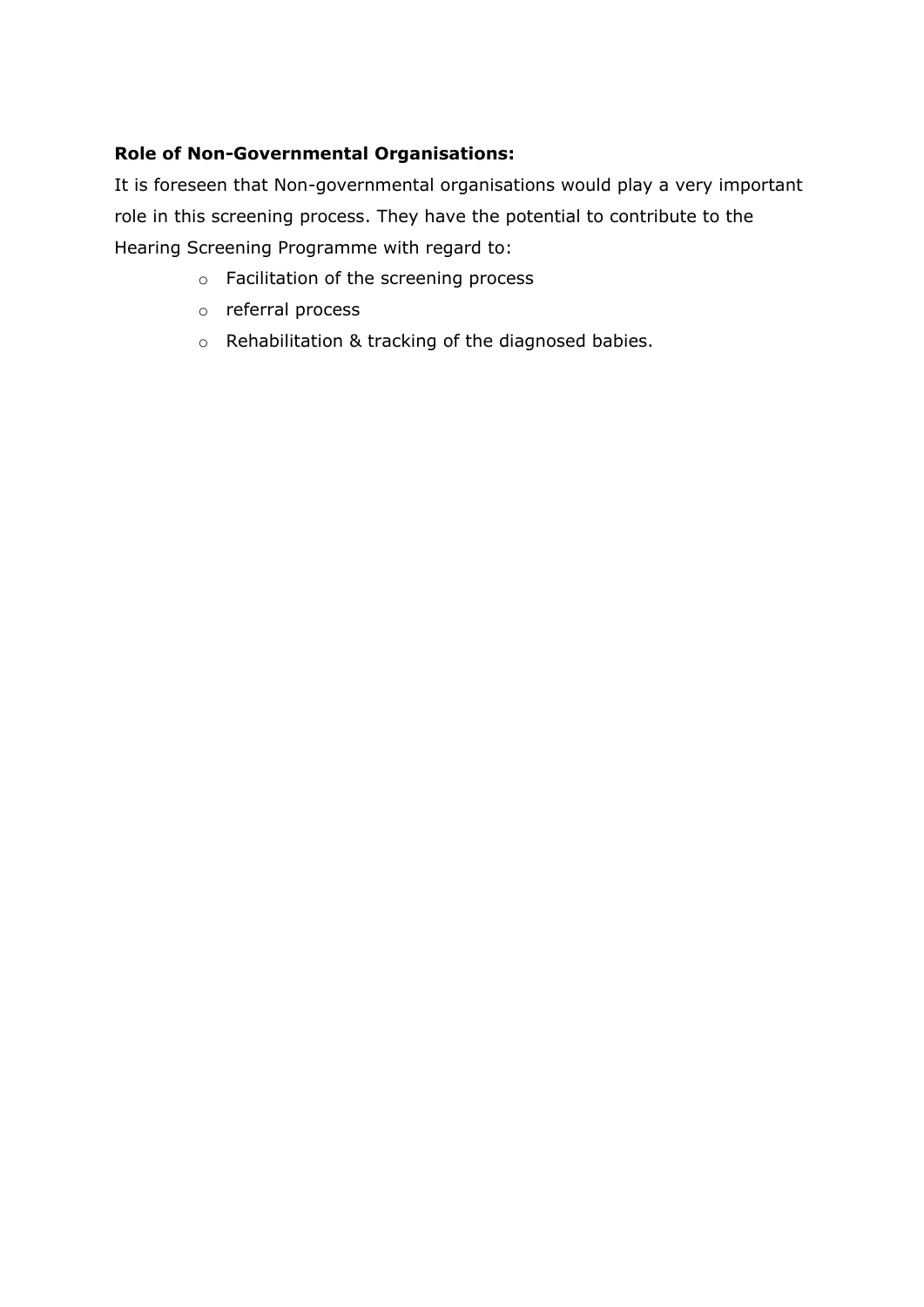## **Role of Non-Governmental Organisations:**

It is foreseen that Non-governmental organisations would play a very important role in this screening process. They have the potential to contribute to the Hearing Screening Programme with regard to:

- o Facilitation of the screening process
- o referral process
- o Rehabilitation & tracking of the diagnosed babies.